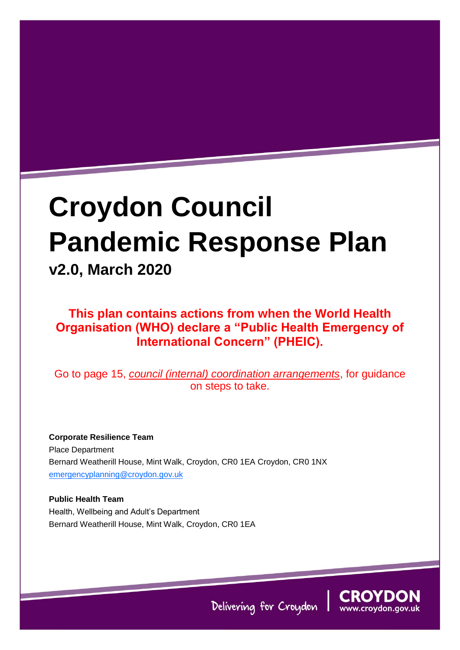# **Croydon Council Pandemic Response Plan**

**NOT PROTECTIVELY MARKED**

# **v2.0, March 2020**

**This plan contains actions from when the World Health Organisation (WHO) declare a "Public Health Emergency of International Concern" (PHEIC).**

Go to page [15,](#page-14-0) *[council \(internal\) coordination arrangements](#page-15-0)*, for guidance on steps to take.

**Corporate Resilience Team** Place Department Bernard Weatherill House, Mint Walk, Croydon, CR0 1EA Croydon, CR0 1NX [emergencyplanning@croydon.gov.uk](mailto:emergencyplanning@croydon.gov.uk)

**Public Health Team** Health, Wellbeing and Adult's Department Bernard Weatherill House, Mint Walk, Croydon, CR0 1EA

Counrea

Delivering for Croydon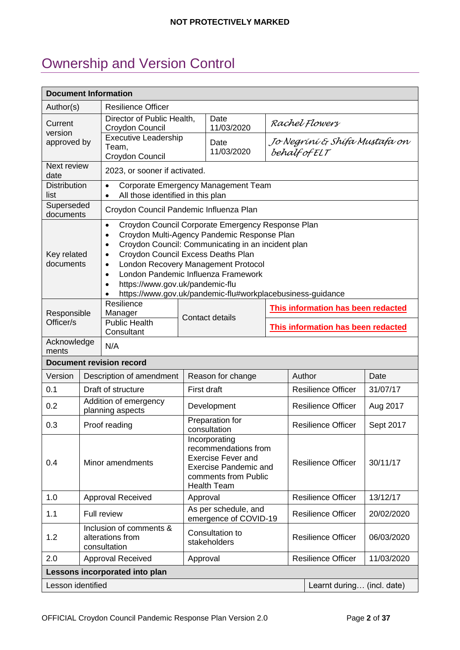# <span id="page-1-0"></span>Ownership and Version Control

| <b>Document Information</b>                                                                                                                                                                                                                                                                                                                                                                                     |                                                 |                                                                                       |                                                            |                                                                                                                                                  |                           |                                                 |                           |            |
|-----------------------------------------------------------------------------------------------------------------------------------------------------------------------------------------------------------------------------------------------------------------------------------------------------------------------------------------------------------------------------------------------------------------|-------------------------------------------------|---------------------------------------------------------------------------------------|------------------------------------------------------------|--------------------------------------------------------------------------------------------------------------------------------------------------|---------------------------|-------------------------------------------------|---------------------------|------------|
| Author(s)                                                                                                                                                                                                                                                                                                                                                                                                       |                                                 | <b>Resilience Officer</b>                                                             |                                                            |                                                                                                                                                  |                           |                                                 |                           |            |
| Current<br>version                                                                                                                                                                                                                                                                                                                                                                                              |                                                 | Director of Public Health,<br>Croydon Council                                         |                                                            | Date<br>11/03/2020                                                                                                                               |                           | Rachel Flowers                                  |                           |            |
| approved by                                                                                                                                                                                                                                                                                                                                                                                                     |                                                 | <b>Executive Leadership</b><br>Team,<br>Croydon Council                               |                                                            | Date<br>11/03/2020                                                                                                                               |                           | Jo Negríní Er Shífa Mustafa on<br>behalf of ELT |                           |            |
| Next review<br>date                                                                                                                                                                                                                                                                                                                                                                                             |                                                 | 2023, or sooner if activated.                                                         |                                                            |                                                                                                                                                  |                           |                                                 |                           |            |
| <b>Distribution</b><br>list                                                                                                                                                                                                                                                                                                                                                                                     |                                                 | Corporate Emergency Management Team<br>All those identified in this plan<br>$\bullet$ |                                                            |                                                                                                                                                  |                           |                                                 |                           |            |
| Superseded<br>documents                                                                                                                                                                                                                                                                                                                                                                                         |                                                 | Croydon Council Pandemic Influenza Plan                                               |                                                            |                                                                                                                                                  |                           |                                                 |                           |            |
| Croydon Council Corporate Emergency Response Plan<br>$\bullet$<br>Croydon Multi-Agency Pandemic Response Plan<br>$\bullet$<br>Croydon Council: Communicating in an incident plan<br>$\bullet$<br>Croydon Council Excess Deaths Plan<br>Key related<br>٠<br>documents<br>London Recovery Management Protocol<br>$\bullet$<br>London Pandemic Influenza Framework<br>$\bullet$<br>https://www.gov.uk/pandemic-flu |                                                 |                                                                                       | https://www.gov.uk/pandemic-flu#workplacebusiness-guidance |                                                                                                                                                  |                           |                                                 |                           |            |
|                                                                                                                                                                                                                                                                                                                                                                                                                 |                                                 | Resilience                                                                            | Contact details                                            |                                                                                                                                                  |                           | This information has been redacted              |                           |            |
| Responsible<br>Officer/s                                                                                                                                                                                                                                                                                                                                                                                        |                                                 | Manager<br>Public Health<br>Consultant                                                |                                                            |                                                                                                                                                  |                           | This information has been redacted              |                           |            |
| Acknowledge<br>ments                                                                                                                                                                                                                                                                                                                                                                                            |                                                 | N/A                                                                                   |                                                            |                                                                                                                                                  |                           |                                                 |                           |            |
|                                                                                                                                                                                                                                                                                                                                                                                                                 |                                                 | <b>Document revision record</b>                                                       |                                                            |                                                                                                                                                  |                           |                                                 |                           |            |
| Version                                                                                                                                                                                                                                                                                                                                                                                                         |                                                 | Description of amendment                                                              |                                                            | Reason for change                                                                                                                                |                           | Author                                          |                           | Date       |
| 0.1                                                                                                                                                                                                                                                                                                                                                                                                             |                                                 | Draft of structure                                                                    | First draft                                                |                                                                                                                                                  |                           |                                                 | <b>Resilience Officer</b> | 31/07/17   |
| 0.2                                                                                                                                                                                                                                                                                                                                                                                                             |                                                 | Addition of emergency<br>planning aspects                                             |                                                            | Development                                                                                                                                      |                           |                                                 | <b>Resilience Officer</b> | Aug 2017   |
| 0.3                                                                                                                                                                                                                                                                                                                                                                                                             |                                                 | Proof reading                                                                         |                                                            | Preparation for<br>consultation                                                                                                                  |                           |                                                 | <b>Resilience Officer</b> | Sept 2017  |
| 0.4                                                                                                                                                                                                                                                                                                                                                                                                             | Minor amendments                                |                                                                                       |                                                            | Incorporating<br>recommendations from<br><b>Exercise Fever and</b><br><b>Exercise Pandemic and</b><br>comments from Public<br><b>Health Team</b> |                           |                                                 | <b>Resilience Officer</b> | 30/11/17   |
| 1.0                                                                                                                                                                                                                                                                                                                                                                                                             | Approval Received                               |                                                                                       |                                                            | Approval                                                                                                                                         |                           |                                                 | <b>Resilience Officer</b> | 13/12/17   |
| 1.1                                                                                                                                                                                                                                                                                                                                                                                                             | Full review                                     |                                                                                       |                                                            | As per schedule, and<br>emergence of COVID-19                                                                                                    |                           |                                                 | <b>Resilience Officer</b> | 20/02/2020 |
| Inclusion of comments &<br>alterations from<br>1.2<br>consultation                                                                                                                                                                                                                                                                                                                                              |                                                 |                                                                                       | Consultation to<br>stakeholders                            |                                                                                                                                                  |                           | <b>Resilience Officer</b>                       | 06/03/2020                |            |
| 2.0                                                                                                                                                                                                                                                                                                                                                                                                             | Approval Received<br>Approval                   |                                                                                       |                                                            |                                                                                                                                                  | <b>Resilience Officer</b> | 11/03/2020                                      |                           |            |
|                                                                                                                                                                                                                                                                                                                                                                                                                 |                                                 | Lessons incorporated into plan                                                        |                                                            |                                                                                                                                                  |                           |                                                 |                           |            |
|                                                                                                                                                                                                                                                                                                                                                                                                                 | Lesson identified<br>Learnt during (incl. date) |                                                                                       |                                                            |                                                                                                                                                  |                           |                                                 |                           |            |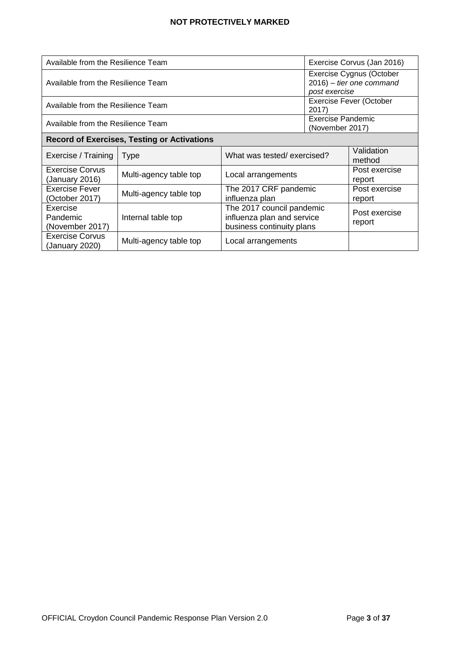| Available from the Resilience Team                 |                                                                   |                                                                                      |  | Exercise Corvus (Jan 2016)                                               |  |
|----------------------------------------------------|-------------------------------------------------------------------|--------------------------------------------------------------------------------------|--|--------------------------------------------------------------------------|--|
| Available from the Resilience Team                 |                                                                   |                                                                                      |  | Exercise Cygnus (October<br>$2016$ ) – tier one command<br>post exercise |  |
| Available from the Resilience Team                 |                                                                   |                                                                                      |  | Exercise Fever (October<br>2017)                                         |  |
| Available from the Resilience Team                 |                                                                   |                                                                                      |  | Exercise Pandemic<br>(November 2017)                                     |  |
| <b>Record of Exercises, Testing or Activations</b> |                                                                   |                                                                                      |  |                                                                          |  |
| Exercise / Training                                | <b>Type</b>                                                       | What was tested/exercised?                                                           |  | Validation<br>method                                                     |  |
| <b>Exercise Corvus</b><br>(January 2016)           | Multi-agency table top                                            | Local arrangements                                                                   |  | Post exercise<br>report                                                  |  |
| <b>Exercise Fever</b><br>(October 2017)            | The 2017 CRF pandemic<br>Multi-agency table top<br>influenza plan |                                                                                      |  | Post exercise<br>report                                                  |  |
| Exercise<br>Pandemic<br>(November 2017)            | Internal table top                                                | The 2017 council pandemic<br>influenza plan and service<br>business continuity plans |  | Post exercise<br>report                                                  |  |
| <b>Exercise Corvus</b><br>(January 2020)           | Multi-agency table top                                            | Local arrangements                                                                   |  |                                                                          |  |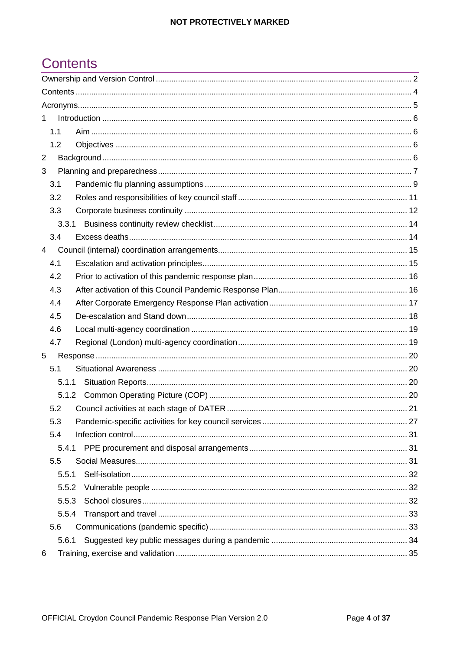# <span id="page-3-0"></span>**Contents**

| 1              |       |  |
|----------------|-------|--|
|                | 1.1   |  |
|                | 1.2   |  |
| $\overline{2}$ |       |  |
| 3              |       |  |
|                | 3.1   |  |
|                | 3.2   |  |
|                | 3.3   |  |
|                | 3.3.1 |  |
|                | 3.4   |  |
| $\overline{4}$ |       |  |
|                | 4.1   |  |
|                | 4.2   |  |
|                | 4.3   |  |
|                | 4.4   |  |
|                | 4.5   |  |
|                | 4.6   |  |
|                | 4.7   |  |
| 5              |       |  |
|                | 5.1   |  |
|                | 5.1.1 |  |
|                |       |  |
|                | 5.2   |  |
|                | 5.3   |  |
|                | 5.4   |  |
|                | 5.4.1 |  |
|                | 5.5   |  |
|                | 5.5.1 |  |
|                | 5.5.2 |  |
|                | 5.5.3 |  |
|                | 5.5.4 |  |
|                | 5.6   |  |
|                | 5.6.1 |  |
| 6              |       |  |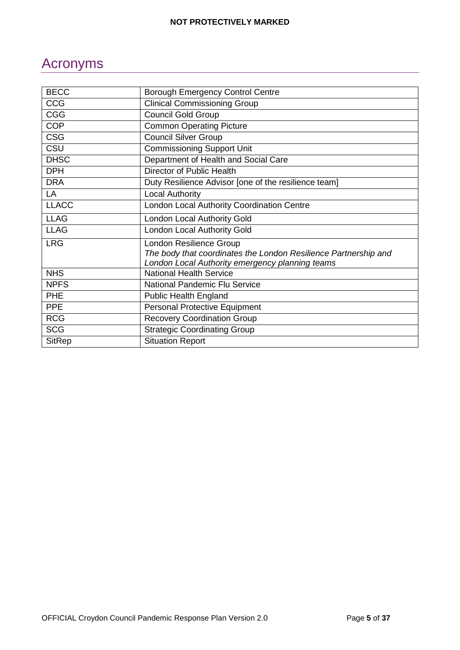# <span id="page-4-0"></span>Acronyms

| <b>BECC</b>   | <b>Borough Emergency Control Centre</b>                                                                                                       |
|---------------|-----------------------------------------------------------------------------------------------------------------------------------------------|
| <b>CCG</b>    | <b>Clinical Commissioning Group</b>                                                                                                           |
| <b>CGG</b>    | <b>Council Gold Group</b>                                                                                                                     |
| <b>COP</b>    | <b>Common Operating Picture</b>                                                                                                               |
| <b>CSG</b>    | <b>Council Silver Group</b>                                                                                                                   |
| CSU           | <b>Commissioning Support Unit</b>                                                                                                             |
| <b>DHSC</b>   | Department of Health and Social Care                                                                                                          |
| <b>DPH</b>    | Director of Public Health                                                                                                                     |
| <b>DRA</b>    | Duty Resilience Advisor [one of the resilience team]                                                                                          |
| LA            | <b>Local Authority</b>                                                                                                                        |
| <b>LLACC</b>  | London Local Authority Coordination Centre                                                                                                    |
| <b>LLAG</b>   | <b>London Local Authority Gold</b>                                                                                                            |
| <b>LLAG</b>   | London Local Authority Gold                                                                                                                   |
| <b>LRG</b>    | London Resilience Group<br>The body that coordinates the London Resilience Partnership and<br>London Local Authority emergency planning teams |
| <b>NHS</b>    | <b>National Health Service</b>                                                                                                                |
| <b>NPFS</b>   | <b>National Pandemic Flu Service</b>                                                                                                          |
| <b>PHE</b>    | <b>Public Health England</b>                                                                                                                  |
| <b>PPE</b>    | <b>Personal Protective Equipment</b>                                                                                                          |
| <b>RCG</b>    | <b>Recovery Coordination Group</b>                                                                                                            |
| <b>SCG</b>    | <b>Strategic Coordinating Group</b>                                                                                                           |
| <b>SitRep</b> | <b>Situation Report</b>                                                                                                                       |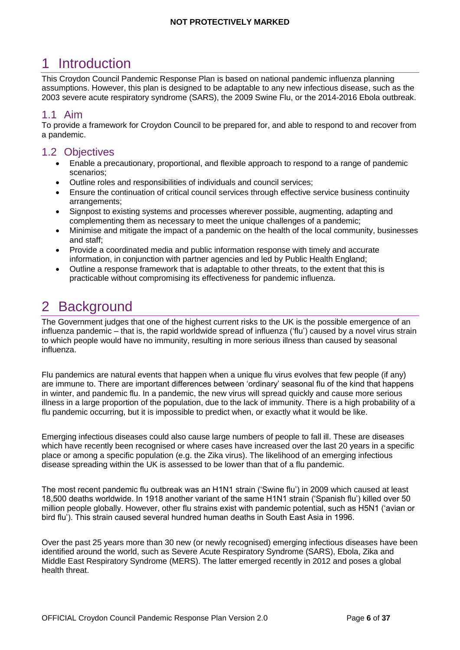# <span id="page-5-0"></span>1 Introduction

This Croydon Council Pandemic Response Plan is based on national pandemic influenza planning assumptions. However, this plan is designed to be adaptable to any new infectious disease, such as the 2003 severe acute respiratory syndrome (SARS), the 2009 Swine Flu, or the 2014-2016 Ebola outbreak.

## <span id="page-5-1"></span>1.1 Aim

To provide a framework for Croydon Council to be prepared for, and able to respond to and recover from a pandemic.

# <span id="page-5-2"></span>1.2 Objectives

- Enable a precautionary, proportional, and flexible approach to respond to a range of pandemic scenarios;
- Outline roles and responsibilities of individuals and council services;
- Ensure the continuation of critical council services through effective service business continuity arrangements;
- Signpost to existing systems and processes wherever possible, augmenting, adapting and complementing them as necessary to meet the unique challenges of a pandemic;
- Minimise and mitigate the impact of a pandemic on the health of the local community, businesses and staff;
- Provide a coordinated media and public information response with timely and accurate information, in conjunction with partner agencies and led by Public Health England;
- Outline a response framework that is adaptable to other threats, to the extent that this is practicable without compromising its effectiveness for pandemic influenza.

# <span id="page-5-3"></span>2 Background

The Government judges that one of the highest current risks to the UK is the possible emergence of an influenza pandemic – that is, the rapid worldwide spread of influenza ('flu') caused by a novel virus strain to which people would have no immunity, resulting in more serious illness than caused by seasonal influenza.

Flu pandemics are natural events that happen when a unique flu virus evolves that few people (if any) are immune to. There are important differences between 'ordinary' seasonal flu of the kind that happens in winter, and pandemic flu. In a pandemic, the new virus will spread quickly and cause more serious illness in a large proportion of the population, due to the lack of immunity. There is a high probability of a flu pandemic occurring, but it is impossible to predict when, or exactly what it would be like.

Emerging infectious diseases could also cause large numbers of people to fall ill. These are diseases which have recently been recognised or where cases have increased over the last 20 years in a specific place or among a specific population (e.g. the Zika virus). The likelihood of an emerging infectious disease spreading within the UK is assessed to be lower than that of a flu pandemic.

The most recent pandemic flu outbreak was an H1N1 strain ('Swine flu') in 2009 which caused at least 18,500 deaths worldwide. In 1918 another variant of the same H1N1 strain ('Spanish flu') killed over 50 million people globally. However, other flu strains exist with pandemic potential, such as H5N1 ('avian or bird flu'). This strain caused several hundred human deaths in South East Asia in 1996.

Over the past 25 years more than 30 new (or newly recognised) emerging infectious diseases have been identified around the world, such as Severe Acute Respiratory Syndrome (SARS), Ebola, Zika and Middle East Respiratory Syndrome (MERS). The latter emerged recently in 2012 and poses a global health threat.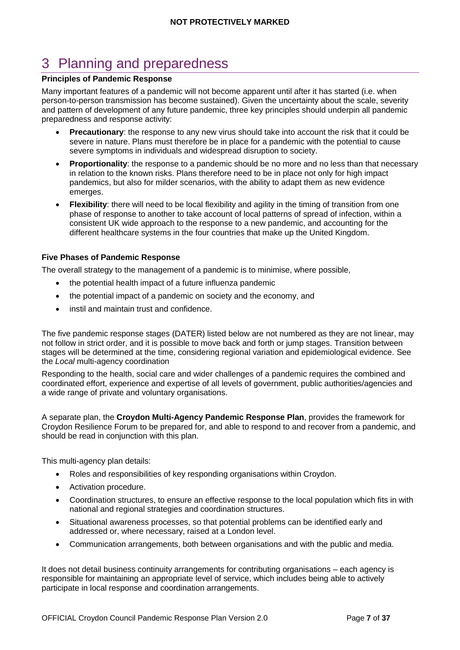# <span id="page-6-0"></span>3 Planning and preparedness

#### **Principles of Pandemic Response**

Many important features of a pandemic will not become apparent until after it has started (i.e. when person-to-person transmission has become sustained). Given the uncertainty about the scale, severity and pattern of development of any future pandemic, three key principles should underpin all pandemic preparedness and response activity:

- **Precautionary**: the response to any new virus should take into account the risk that it could be severe in nature. Plans must therefore be in place for a pandemic with the potential to cause severe symptoms in individuals and widespread disruption to society.
- **Proportionality**: the response to a pandemic should be no more and no less than that necessary in relation to the known risks. Plans therefore need to be in place not only for high impact pandemics, but also for milder scenarios, with the ability to adapt them as new evidence emerges.
- **Flexibility**: there will need to be local flexibility and agility in the timing of transition from one phase of response to another to take account of local patterns of spread of infection, within a consistent UK wide approach to the response to a new pandemic, and accounting for the different healthcare systems in the four countries that make up the United Kingdom.

#### **Five Phases of Pandemic Response**

The overall strategy to the management of a pandemic is to minimise, where possible,

- the potential health impact of a future influenza pandemic
- the potential impact of a pandemic on society and the economy, and
- instil and maintain trust and confidence.

The five pandemic response stages (DATER) listed below are not numbered as they are not linear, may not follow in strict order, and it is possible to move back and forth or jump stages. Transition between stages will be determined at the time, considering regional variation and epidemiological evidence. See the *Local* [multi-agency coordination](#page-19-1)

[Responding to the health, social care and wider challenges of a pandemic requires the combined and](#page-19-1)  [coordinated effort, experience and expertise of all levels of government, public authorities/agencies and](#page-19-1)  a [wide range of private and voluntary organisations.](#page-19-1)

A separate plan, the **[Croydon Multi-Agency Pandemic Response](#page-19-1) Plan**, provides the framework for [Croydon Resilience Forum to be prepared for, and able to respond to and recover from a pandemic, and](#page-19-1)  should be [read in conjunction with this plan.](#page-19-1)

[This multi-agency plan details:](#page-19-1)

- [Roles and responsibilities of key responding organisations within Croydon.](#page-19-1)
- [Activation procedure.](#page-19-1)
- [Coordination structures, to ensure an effective response to the local population which fits in with](#page-19-1)  [national and regional strategies and coordination structures.](#page-19-1)
- [Situational awareness processes, so that potential problems can be identified early and](#page-19-1)  [addressed or, where necessary, raised at a London level.](#page-19-1)
- [Communication arrangements, both between organisations and with the public and media.](#page-19-1)

[It does not detail business continuity arrangements for contributing organisations –](#page-19-1) each agency is [responsible for maintaining an appropriate level of service, which includes being able to actively](#page-19-1)  [participate in local response and coordination arrangements.](#page-19-1)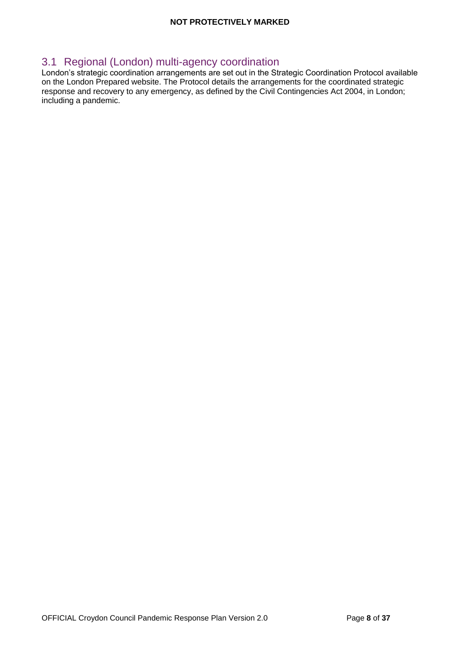# 3.1 Regional (London) [multi-agency coordination](#page-19-1)

[London's strategic coordination arrangements are set out in the Strategic Coordination Protocol available](#page-19-1)  on the London Prepared [website. The Protocol details the arrangements for the coordinated strategic](#page-19-1)  [response and recovery to any emergency, as defined by the Civil Contingencies Act 2004, in London;](#page-19-1)  [including a pandemic.](#page-19-1)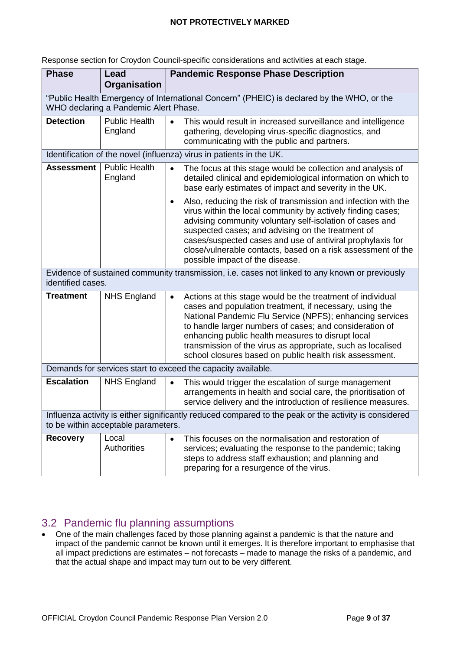| <b>Phase</b>                                                                                                                                 | Lead<br>Organisation                                                                                                               | <b>Pandemic Response Phase Description</b>                                                                                                                                                                                                                                                                                                                                                                                               |  |  |  |  |
|----------------------------------------------------------------------------------------------------------------------------------------------|------------------------------------------------------------------------------------------------------------------------------------|------------------------------------------------------------------------------------------------------------------------------------------------------------------------------------------------------------------------------------------------------------------------------------------------------------------------------------------------------------------------------------------------------------------------------------------|--|--|--|--|
|                                                                                                                                              | "Public Health Emergency of International Concern" (PHEIC) is declared by the WHO, or the<br>WHO declaring a Pandemic Alert Phase. |                                                                                                                                                                                                                                                                                                                                                                                                                                          |  |  |  |  |
| <b>Detection</b>                                                                                                                             | <b>Public Health</b><br>England                                                                                                    | This would result in increased surveillance and intelligence<br>$\bullet$<br>gathering, developing virus-specific diagnostics, and<br>communicating with the public and partners.                                                                                                                                                                                                                                                        |  |  |  |  |
|                                                                                                                                              |                                                                                                                                    | Identification of the novel (influenza) virus in patients in the UK.                                                                                                                                                                                                                                                                                                                                                                     |  |  |  |  |
| <b>Assessment</b>                                                                                                                            | <b>Public Health</b><br>England                                                                                                    | The focus at this stage would be collection and analysis of<br>detailed clinical and epidemiological information on which to<br>base early estimates of impact and severity in the UK.                                                                                                                                                                                                                                                   |  |  |  |  |
|                                                                                                                                              |                                                                                                                                    | Also, reducing the risk of transmission and infection with the<br>$\bullet$<br>virus within the local community by actively finding cases;<br>advising community voluntary self-isolation of cases and<br>suspected cases; and advising on the treatment of<br>cases/suspected cases and use of antiviral prophylaxis for<br>close/vulnerable contacts, based on a risk assessment of the<br>possible impact of the disease.             |  |  |  |  |
| Evidence of sustained community transmission, i.e. cases not linked to any known or previously<br>identified cases.                          |                                                                                                                                    |                                                                                                                                                                                                                                                                                                                                                                                                                                          |  |  |  |  |
| <b>Treatment</b>                                                                                                                             | <b>NHS England</b>                                                                                                                 | Actions at this stage would be the treatment of individual<br>$\bullet$<br>cases and population treatment, if necessary, using the<br>National Pandemic Flu Service (NPFS); enhancing services<br>to handle larger numbers of cases; and consideration of<br>enhancing public health measures to disrupt local<br>transmission of the virus as appropriate, such as localised<br>school closures based on public health risk assessment. |  |  |  |  |
|                                                                                                                                              |                                                                                                                                    | Demands for services start to exceed the capacity available.                                                                                                                                                                                                                                                                                                                                                                             |  |  |  |  |
| <b>Escalation</b>                                                                                                                            | <b>NHS England</b>                                                                                                                 | This would trigger the escalation of surge management<br>$\bullet$<br>arrangements in health and social care, the prioritisation of<br>service delivery and the introduction of resilience measures.                                                                                                                                                                                                                                     |  |  |  |  |
| Influenza activity is either significantly reduced compared to the peak or the activity is considered<br>to be within acceptable parameters. |                                                                                                                                    |                                                                                                                                                                                                                                                                                                                                                                                                                                          |  |  |  |  |
| <b>Recovery</b>                                                                                                                              | Local<br><b>Authorities</b>                                                                                                        | This focuses on the normalisation and restoration of<br>$\bullet$<br>services; evaluating the response to the pandemic; taking<br>steps to address staff exhaustion; and planning and<br>preparing for a resurgence of the virus.                                                                                                                                                                                                        |  |  |  |  |

[Response](#page-19-1) section for Croydon Council-specific considerations and activities at each stage.

# <span id="page-8-0"></span>3.2 Pandemic flu planning assumptions

 One of the main challenges faced by those planning against a pandemic is that the nature and impact of the pandemic cannot be known until it emerges. It is therefore important to emphasise that all impact predictions are estimates – not forecasts – made to manage the risks of a pandemic, and that the actual shape and impact may turn out to be very different.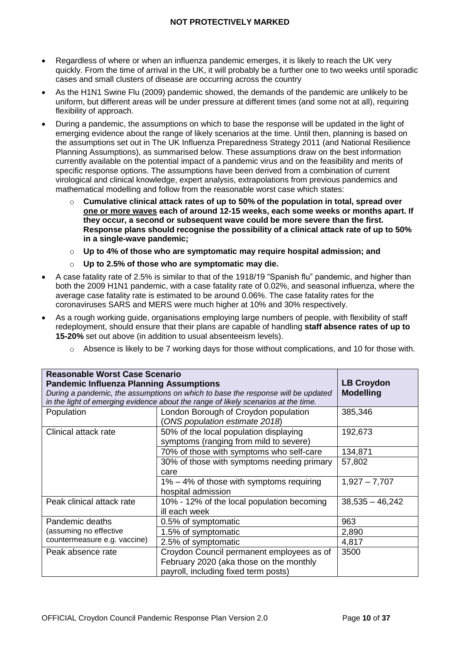- Regardless of where or when an influenza pandemic emerges, it is likely to reach the UK very quickly. From the time of arrival in the UK, it will probably be a further one to two weeks until sporadic cases and small clusters of disease are occurring across the country
- As the H1N1 Swine Flu (2009) pandemic showed, the demands of the pandemic are unlikely to be uniform, but different areas will be under pressure at different times (and some not at all), requiring flexibility of approach.
- During a pandemic, the assumptions on which to base the response will be updated in the light of emerging evidence about the range of likely scenarios at the time. Until then, planning is based on the assumptions set out in The UK Influenza Preparedness Strategy 2011 (and National Resilience Planning Assumptions), as summarised below. These assumptions draw on the best information currently available on the potential impact of a pandemic virus and on the feasibility and merits of specific response options. The assumptions have been derived from a combination of current virological and clinical knowledge, expert analysis, extrapolations from previous pandemics and mathematical modelling and follow from the reasonable worst case which states:
	- o **Cumulative clinical attack rates of up to 50% of the population in total, spread over one or more waves each of around 12-15 weeks, each some weeks or months apart. If they occur, a second or subsequent wave could be more severe than the first. Response plans should recognise the possibility of a clinical attack rate of up to 50% in a single-wave pandemic;**
	- o **Up to 4% of those who are symptomatic may require hospital admission; and**
	- o **Up to 2.5% of those who are symptomatic may die.**
- A case fatality rate of 2.5% is similar to that of the 1918/19 "Spanish flu" pandemic, and higher than both the 2009 H1N1 pandemic, with a case fatality rate of 0.02%, and seasonal influenza, where the average case fatality rate is estimated to be around 0.06%. The case fatality rates for the coronaviruses SARS and MERS were much higher at 10% and 30% respectively.
- As a rough working guide, organisations employing large numbers of people, with flexibility of staff redeployment, should ensure that their plans are capable of handling **staff absence rates of up to 15-20%** set out above (in addition to usual absenteeism levels).
	- $\circ$  Absence is likely to be 7 working days for those without complications, and 10 for those with.

| Reasonable Worst Case Scenario                 |                                                                                    |                   |
|------------------------------------------------|------------------------------------------------------------------------------------|-------------------|
| <b>Pandemic Influenza Planning Assumptions</b> | <b>LB Croydon</b>                                                                  |                   |
|                                                | During a pandemic, the assumptions on which to base the response will be updated   | <b>Modelling</b>  |
|                                                | in the light of emerging evidence about the range of likely scenarios at the time. |                   |
| Population                                     | London Borough of Croydon population                                               | 385,346           |
|                                                | ONS population estimate 2018)                                                      |                   |
| Clinical attack rate                           | 50% of the local population displaying                                             | 192,673           |
|                                                | symptoms (ranging from mild to severe)                                             |                   |
|                                                | 70% of those with symptoms who self-care                                           | 134,871           |
|                                                | 30% of those with symptoms needing primary                                         | 57,802            |
|                                                | care                                                                               |                   |
|                                                | $1\% - 4\%$ of those with symptoms requiring                                       | $1,927 - 7,707$   |
|                                                | hospital admission                                                                 |                   |
| Peak clinical attack rate                      | 10% - 12% of the local population becoming                                         | $38,535 - 46,242$ |
|                                                | ill each week                                                                      |                   |
| Pandemic deaths                                | 0.5% of symptomatic                                                                | 963               |
| (assuming no effective                         | 1.5% of symptomatic                                                                | 2,890             |
| countermeasure e.g. vaccine)                   | 2.5% of symptomatic                                                                | 4,817             |
| Peak absence rate                              | Croydon Council permanent employees as of                                          | 3500              |
|                                                | February 2020 (aka those on the monthly                                            |                   |
|                                                | payroll, including fixed term posts)                                               |                   |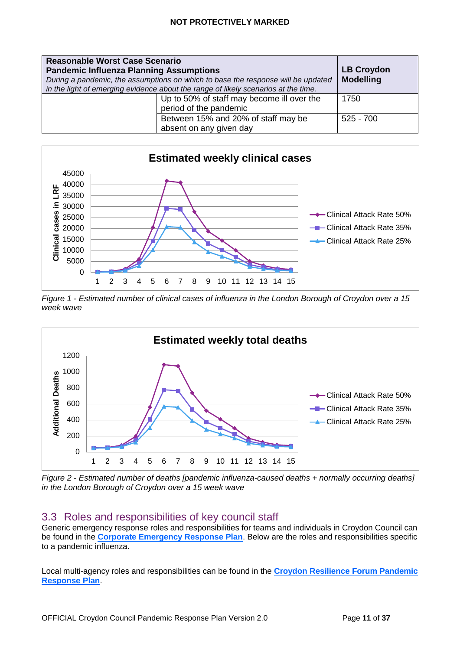| <b>Reasonable Worst Case Scenario</b><br><b>Pandemic Influenza Planning Assumptions</b><br>During a pandemic, the assumptions on which to base the response will be updated<br>in the light of emerging evidence about the range of likely scenarios at the time. | <b>LB Croydon</b><br><b>Modelling</b>                                |             |
|-------------------------------------------------------------------------------------------------------------------------------------------------------------------------------------------------------------------------------------------------------------------|----------------------------------------------------------------------|-------------|
|                                                                                                                                                                                                                                                                   | Up to 50% of staff may become ill over the<br>period of the pandemic | 1750        |
|                                                                                                                                                                                                                                                                   | Between 15% and 20% of staff may be<br>absent on any given day       | $525 - 700$ |



*Figure 1 - Estimated number of clinical cases of influenza in the London Borough of Croydon over a 15 week wave*



*Figure 2 - Estimated number of deaths [pandemic influenza-caused deaths + normally occurring deaths] in the London Borough of Croydon over a 15 week wave*

## <span id="page-10-0"></span>3.3 Roles and responsibilities of key council staff

Generic emergency response roles and responsibilities for teams and individuals in Croydon Council can be found in the **Corporate Emergency Response Plan**. Below are the roles and responsibilities specific to a pandemic influenza.

Local multi-agency roles and responsibilities can be found in the **Croydon Resilience Forum Pandemic Response Plan**.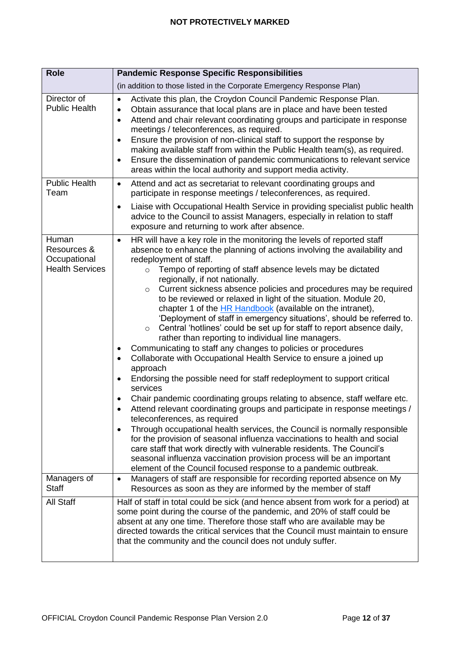| <b>Role</b>                                                    | <b>Pandemic Response Specific Responsibilities</b>                                                                                                                                                                                                                                                                                                                                                                                                                                                                                                                                                                                                                                                                                                                                                                                                                                                                                                                                                                                                                                                                                                                                                                                                                                                                                                                                                                                                                                                                                                                                                             |
|----------------------------------------------------------------|----------------------------------------------------------------------------------------------------------------------------------------------------------------------------------------------------------------------------------------------------------------------------------------------------------------------------------------------------------------------------------------------------------------------------------------------------------------------------------------------------------------------------------------------------------------------------------------------------------------------------------------------------------------------------------------------------------------------------------------------------------------------------------------------------------------------------------------------------------------------------------------------------------------------------------------------------------------------------------------------------------------------------------------------------------------------------------------------------------------------------------------------------------------------------------------------------------------------------------------------------------------------------------------------------------------------------------------------------------------------------------------------------------------------------------------------------------------------------------------------------------------------------------------------------------------------------------------------------------------|
|                                                                | (in addition to those listed in the Corporate Emergency Response Plan)                                                                                                                                                                                                                                                                                                                                                                                                                                                                                                                                                                                                                                                                                                                                                                                                                                                                                                                                                                                                                                                                                                                                                                                                                                                                                                                                                                                                                                                                                                                                         |
| Director of<br><b>Public Health</b>                            | Activate this plan, the Croydon Council Pandemic Response Plan.<br>$\bullet$<br>Obtain assurance that local plans are in place and have been tested<br>$\bullet$<br>Attend and chair relevant coordinating groups and participate in response<br>$\bullet$<br>meetings / teleconferences, as required.<br>Ensure the provision of non-clinical staff to support the response by<br>$\bullet$<br>making available staff from within the Public Health team(s), as required.<br>Ensure the dissemination of pandemic communications to relevant service<br>$\bullet$<br>areas within the local authority and support media activity.                                                                                                                                                                                                                                                                                                                                                                                                                                                                                                                                                                                                                                                                                                                                                                                                                                                                                                                                                                             |
| <b>Public Health</b><br>Team                                   | Attend and act as secretariat to relevant coordinating groups and<br>$\bullet$<br>participate in response meetings / teleconferences, as required.                                                                                                                                                                                                                                                                                                                                                                                                                                                                                                                                                                                                                                                                                                                                                                                                                                                                                                                                                                                                                                                                                                                                                                                                                                                                                                                                                                                                                                                             |
|                                                                | Liaise with Occupational Health Service in providing specialist public health<br>٠<br>advice to the Council to assist Managers, especially in relation to staff<br>exposure and returning to work after absence.                                                                                                                                                                                                                                                                                                                                                                                                                                                                                                                                                                                                                                                                                                                                                                                                                                                                                                                                                                                                                                                                                                                                                                                                                                                                                                                                                                                               |
| Human<br>Resources &<br>Occupational<br><b>Health Services</b> | HR will have a key role in the monitoring the levels of reported staff<br>$\bullet$<br>absence to enhance the planning of actions involving the availability and<br>redeployment of staff.<br>Tempo of reporting of staff absence levels may be dictated<br>$\circ$<br>regionally, if not nationally.<br>Current sickness absence policies and procedures may be required<br>$\circ$<br>to be reviewed or relaxed in light of the situation. Module 20,<br>chapter 1 of the <b>HR Handbook</b> (available on the intranet),<br>'Deployment of staff in emergency situations', should be referred to.<br>Central 'hotlines' could be set up for staff to report absence daily,<br>$\circ$<br>rather than reporting to individual line managers.<br>Communicating to staff any changes to policies or procedures<br>٠<br>Collaborate with Occupational Health Service to ensure a joined up<br>$\bullet$<br>approach<br>Endorsing the possible need for staff redeployment to support critical<br>$\bullet$<br>services<br>Chair pandemic coordinating groups relating to absence, staff welfare etc.<br>Attend relevant coordinating groups and participate in response meetings /<br>teleconferences, as required<br>Through occupational health services, the Council is normally responsible<br>$\bullet$<br>for the provision of seasonal influenza vaccinations to health and social<br>care staff that work directly with vulnerable residents. The Council's<br>seasonal influenza vaccination provision process will be an important<br>element of the Council focused response to a pandemic outbreak. |
| Managers of<br><b>Staff</b>                                    | Managers of staff are responsible for recording reported absence on My<br>$\bullet$<br>Resources as soon as they are informed by the member of staff                                                                                                                                                                                                                                                                                                                                                                                                                                                                                                                                                                                                                                                                                                                                                                                                                                                                                                                                                                                                                                                                                                                                                                                                                                                                                                                                                                                                                                                           |
| All Staff                                                      | Half of staff in total could be sick (and hence absent from work for a period) at<br>some point during the course of the pandemic, and 20% of staff could be<br>absent at any one time. Therefore those staff who are available may be<br>directed towards the critical services that the Council must maintain to ensure<br>that the community and the council does not unduly suffer.                                                                                                                                                                                                                                                                                                                                                                                                                                                                                                                                                                                                                                                                                                                                                                                                                                                                                                                                                                                                                                                                                                                                                                                                                        |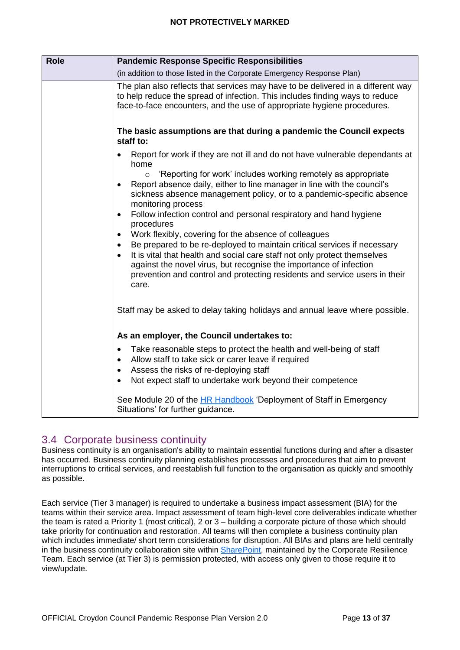| <b>Role</b> | <b>Pandemic Response Specific Responsibilities</b>                                                                                                                                                                                                                                                                                                                                                                 |
|-------------|--------------------------------------------------------------------------------------------------------------------------------------------------------------------------------------------------------------------------------------------------------------------------------------------------------------------------------------------------------------------------------------------------------------------|
|             | (in addition to those listed in the Corporate Emergency Response Plan)                                                                                                                                                                                                                                                                                                                                             |
|             | The plan also reflects that services may have to be delivered in a different way<br>to help reduce the spread of infection. This includes finding ways to reduce<br>face-to-face encounters, and the use of appropriate hygiene procedures.<br>The basic assumptions are that during a pandemic the Council expects                                                                                                |
|             | staff to:                                                                                                                                                                                                                                                                                                                                                                                                          |
|             | Report for work if they are not ill and do not have vulnerable dependants at<br>home                                                                                                                                                                                                                                                                                                                               |
|             | 'Reporting for work' includes working remotely as appropriate<br>$\circ$<br>Report absence daily, either to line manager in line with the council's<br>sickness absence management policy, or to a pandemic-specific absence<br>monitoring process                                                                                                                                                                 |
|             | Follow infection control and personal respiratory and hand hygiene<br>$\bullet$<br>procedures                                                                                                                                                                                                                                                                                                                      |
|             | Work flexibly, covering for the absence of colleagues<br>$\bullet$<br>Be prepared to be re-deployed to maintain critical services if necessary<br>$\bullet$<br>It is vital that health and social care staff not only protect themselves<br>$\bullet$<br>against the novel virus, but recognise the importance of infection<br>prevention and control and protecting residents and service users in their<br>care. |
|             | Staff may be asked to delay taking holidays and annual leave where possible.                                                                                                                                                                                                                                                                                                                                       |
|             | As an employer, the Council undertakes to:                                                                                                                                                                                                                                                                                                                                                                         |
|             | Take reasonable steps to protect the health and well-being of staff<br>$\bullet$<br>Allow staff to take sick or carer leave if required<br>$\bullet$<br>Assess the risks of re-deploying staff<br>Not expect staff to undertake work beyond their competence                                                                                                                                                       |
|             | See Module 20 of the HR Handbook 'Deployment of Staff in Emergency<br>Situations' for further guidance.                                                                                                                                                                                                                                                                                                            |

# <span id="page-12-0"></span>3.4 Corporate business continuity

Business continuity is an organisation's ability to maintain essential functions during and after a disaster has occurred. Business continuity planning establishes processes and procedures that aim to prevent interruptions to critical services, and reestablish full function to the organisation as quickly and smoothly as possible.

Each service (Tier 3 manager) is required to undertake a business impact assessment (BIA) for the teams within their service area. Impact assessment of team high-level core deliverables indicate whether the team is rated a Priority 1 (most critical), 2 or 3 – building a corporate picture of those which should take priority for continuation and restoration. All teams will then complete a business continuity plan which includes immediate/ short term considerations for disruption. All BIAs and plans are held centrally in the business continuity collaboration site within **SharePoint**, maintained by the Corporate Resilience Team. Each service (at Tier 3) is permission protected, with access only given to those require it to view/update.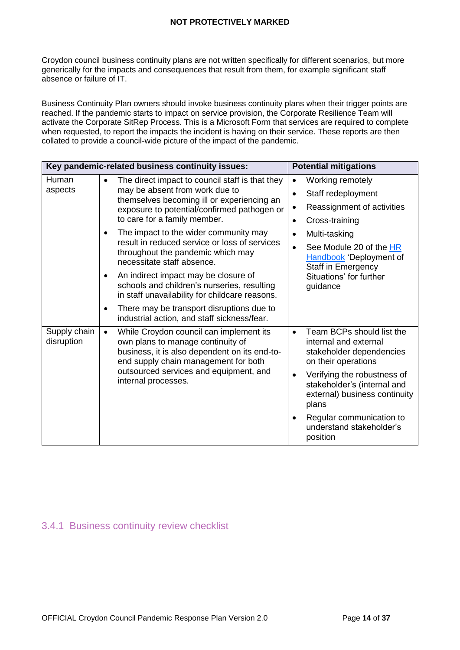Croydon council business continuity plans are not written specifically for different scenarios, but more generically for the impacts and consequences that result from them, for example significant staff absence or failure of IT.

Business Continuity Plan owners should invoke business continuity plans when their trigger points are reached. If the pandemic starts to impact on service provision, the Corporate Resilience Team will activate the Corporate SitRep Process. This is a Microsoft Form that services are required to complete when requested, to report the impacts the incident is having on their service. These reports are then collated to provide a council-wide picture of the impact of the pandemic.

|                            | Key pandemic-related business continuity issues:                                                                                                                                                                                                                                                                                                                                                                                                                                                                     | <b>Potential mitigations</b>                                                                                                                                                                                                                                                                                     |
|----------------------------|----------------------------------------------------------------------------------------------------------------------------------------------------------------------------------------------------------------------------------------------------------------------------------------------------------------------------------------------------------------------------------------------------------------------------------------------------------------------------------------------------------------------|------------------------------------------------------------------------------------------------------------------------------------------------------------------------------------------------------------------------------------------------------------------------------------------------------------------|
| Human<br>aspects           | The direct impact to council staff is that they<br>may be absent from work due to<br>themselves becoming ill or experiencing an<br>exposure to potential/confirmed pathogen or<br>to care for a family member.<br>The impact to the wider community may<br>result in reduced service or loss of services<br>throughout the pandemic which may<br>necessitate staff absence.<br>An indirect impact may be closure of<br>schools and children's nurseries, resulting<br>in staff unavailability for childcare reasons. | Working remotely<br>$\bullet$<br>Staff redeployment<br>٠<br>Reassignment of activities<br>٠<br>Cross-training<br>$\bullet$                                                                                                                                                                                       |
|                            |                                                                                                                                                                                                                                                                                                                                                                                                                                                                                                                      | Multi-tasking<br>$\bullet$<br>See Module 20 of the HR<br>$\bullet$<br><b>Handbook</b> 'Deployment of<br>Staff in Emergency<br>Situations' for further<br>guidance                                                                                                                                                |
|                            | There may be transport disruptions due to<br>industrial action, and staff sickness/fear.                                                                                                                                                                                                                                                                                                                                                                                                                             |                                                                                                                                                                                                                                                                                                                  |
| Supply chain<br>disruption | While Croydon council can implement its<br>$\bullet$<br>own plans to manage continuity of<br>business, it is also dependent on its end-to-<br>end supply chain management for both<br>outsourced services and equipment, and<br>internal processes.                                                                                                                                                                                                                                                                  | Team BCPs should list the<br>$\bullet$<br>internal and external<br>stakeholder dependencies<br>on their operations<br>Verifying the robustness of<br>$\bullet$<br>stakeholder's (internal and<br>external) business continuity<br>plans<br>Regular communication to<br>٠<br>understand stakeholder's<br>position |

#### <span id="page-13-0"></span>3.4.1 Business continuity review checklist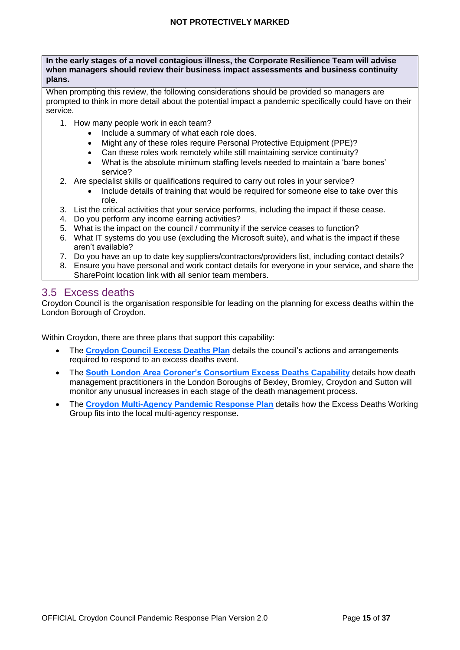**In the early stages of a novel contagious illness, the Corporate Resilience Team will advise when managers should review their business impact assessments and business continuity plans.** 

When prompting this review, the following considerations should be provided so managers are prompted to think in more detail about the potential impact a pandemic specifically could have on their service.

- 1. How many people work in each team?
	- Include a summary of what each role does.
	- Might any of these roles require Personal Protective Equipment (PPE)?
	- Can these roles work remotely while still maintaining service continuity?
	- What is the absolute minimum staffing levels needed to maintain a 'bare bones' service?
- 2. Are specialist skills or qualifications required to carry out roles in your service?
	- Include details of training that would be required for someone else to take over this role.
- 3. List the critical activities that your service performs, including the impact if these cease.
- 4. Do you perform any income earning activities?
- 5. What is the impact on the council / community if the service ceases to function?
- 6. What IT systems do you use (excluding the Microsoft suite), and what is the impact if these aren't available?
- 7. Do you have an up to date key suppliers/contractors/providers list, including contact details?
- 8. Ensure you have personal and work contact details for everyone in your service, and share the SharePoint location link with all senior team members.

## <span id="page-14-1"></span>3.5 Excess deaths

Croydon Council is the organisation responsible for leading on the planning for excess deaths within the London Borough of Croydon.

Within Croydon, there are three plans that support this capability:

- The **Croydon Council Excess Deaths Plan** details the council's actions and arrangements required to respond to an excess deaths event.
- The **South London Area Coroner's Consortium Excess Deaths Capability** details how death management practitioners in the London Boroughs of Bexley, Bromley, Croydon and Sutton will monitor any unusual increases in each stage of the death management process.
- <span id="page-14-0"></span> The **Croydon Multi-Agency Pandemic Response Plan** details how the Excess Deaths Working Group fits into the local multi-agency response**.**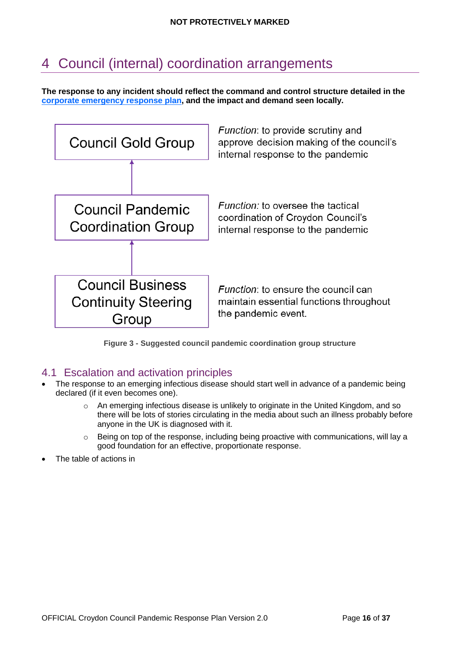# <span id="page-15-0"></span>4 Council (internal) coordination arrangements

**The response to any incident should reflect the command and control structure detailed in the corporate emergency response plan, and the impact and demand seen locally.**



**Figure 3 - Suggested council pandemic coordination group structure**

# <span id="page-15-1"></span>4.1 Escalation and activation principles

- The response to an emerging infectious disease should start well in advance of a pandemic being declared (if it even becomes one).
	- o An emerging infectious disease is unlikely to originate in the United Kingdom, and so there will be lots of stories circulating in the media about such an illness probably before anyone in the UK is diagnosed with it.
	- $\circ$  Being on top of the response, including being proactive with communications, will lay a good foundation for an effective, proportionate response.
- The table of actions in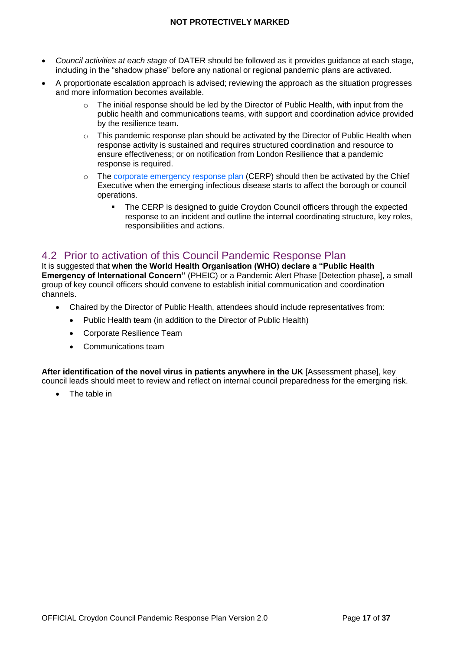- *[Council activities at each stage](#page-21-4)* of DATER should be followed as it provides guidance at each stage, including in the "shadow phase" before any national or regional pandemic plans are activated.
- A proportionate escalation approach is advised; reviewing the approach as the situation progresses and more information becomes available.
	- $\circ$  The initial response should be led by the Director of Public Health, with input from the public health and communications teams, with support and coordination advice provided by the resilience team.
	- $\circ$  This pandemic response plan should be activated by the Director of Public Health when response activity is sustained and requires structured coordination and resource to ensure effectiveness; or on notification from London Resilience that a pandemic response is required.
	- o The corporate emergency response plan (CERP) should then be activated by the Chief Executive when the emerging infectious disease starts to affect the borough or council operations.
		- The CERP is designed to guide Croydon Council officers through the expected response to an incident and outline the internal coordinating structure, key roles, responsibilities and actions.

# <span id="page-16-0"></span>4.2 Prior to activation of this Council Pandemic Response Plan

It is suggested that **when the World Health Organisation (WHO) declare a "Public Health Emergency of International Concern"** (PHEIC) or a Pandemic Alert Phase [Detection phase], a small group of key council officers should convene to establish initial communication and coordination channels.

- Chaired by the Director of Public Health, attendees should include representatives from:
	- Public Health team (in addition to the Director of Public Health)
	- Corporate Resilience Team
	- Communications team

**After identification of the novel virus in patients anywhere in the UK** [Assessment phase], key council leads should meet to review and reflect on internal council preparedness for the emerging risk.

•The table in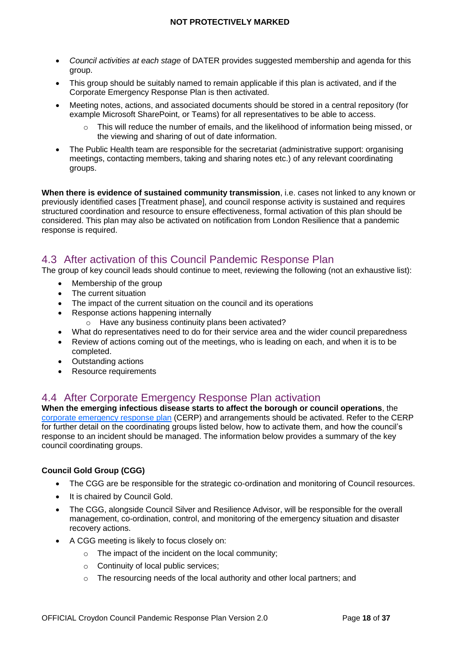- *[Council activities at each stage](#page-21-4)* of DATER provides suggested membership and agenda for this group.
- This group should be suitably named to remain applicable if this plan is activated, and if the Corporate Emergency Response Plan is then activated.
- Meeting notes, actions, and associated documents should be stored in a central repository (for example Microsoft SharePoint, or Teams) for all representatives to be able to access.
	- $\circ$  This will reduce the number of emails, and the likelihood of information being missed, or the viewing and sharing of out of date information.
- The Public Health team are responsible for the secretariat (administrative support: organising meetings, contacting members, taking and sharing notes etc.) of any relevant coordinating groups.

**When there is evidence of sustained community transmission**, i.e. cases not linked to any known or previously identified cases [Treatment phase], and council response activity is sustained and requires structured coordination and resource to ensure effectiveness, formal activation of this plan should be considered. This plan may also be activated on notification from London Resilience that a pandemic response is required.

# <span id="page-17-0"></span>4.3 After activation of this Council Pandemic Response Plan

The group of key council leads should continue to meet, reviewing the following (not an exhaustive list):

- Membership of the group
- The current situation
- The impact of the current situation on the council and its operations
- Response actions happening internally
	- o Have any business continuity plans been activated?
- What do representatives need to do for their service area and the wider council preparedness
- Review of actions coming out of the meetings, who is leading on each, and when it is to be completed.
- Outstanding actions
- Resource requirements

# <span id="page-17-1"></span>4.4 After Corporate Emergency Response Plan activation

**When the emerging infectious disease starts to affect the borough or council operations**, the corporate emergency response plan (CERP) and arrangements should be activated. Refer to the CERP for further detail on the coordinating groups listed below, how to activate them, and how the council's response to an incident should be managed. The information below provides a summary of the key council coordinating groups.

#### **Council Gold Group (CGG)**

- The CGG are be responsible for the strategic co-ordination and monitoring of Council resources.
- It is chaired by Council Gold.
- The CGG, alongside Council Silver and Resilience Advisor, will be responsible for the overall management, co-ordination, control, and monitoring of the emergency situation and disaster recovery actions.
- A CGG meeting is likely to focus closely on:
	- o The impact of the incident on the local community;
	- o Continuity of local public services;
	- o The resourcing needs of the local authority and other local partners; and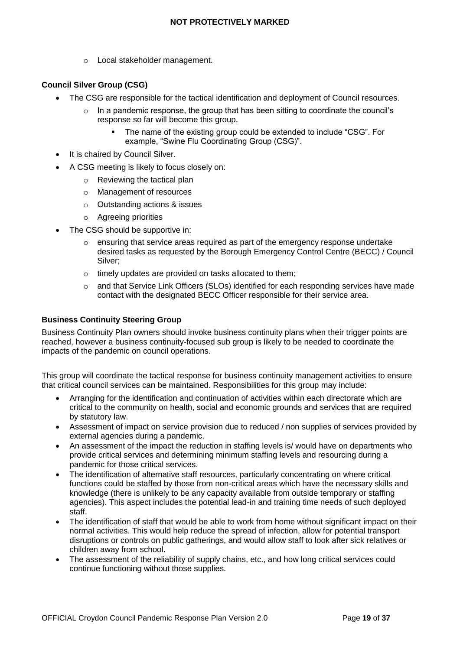o Local stakeholder management.

#### **Council Silver Group (CSG)**

- The CSG are responsible for the tactical identification and deployment of Council resources.
	- $\circ$  In a pandemic response, the group that has been sitting to coordinate the council's response so far will become this group.
		- The name of the existing group could be extended to include "CSG". For example, "Swine Flu Coordinating Group (CSG)".
- It is chaired by Council Silver.
- A CSG meeting is likely to focus closely on:
	- o Reviewing the tactical plan
	- o Management of resources
	- o Outstanding actions & issues
	- o Agreeing priorities
- The CSG should be supportive in:
	- $\circ$  ensuring that service areas required as part of the emergency response undertake desired tasks as requested by the Borough Emergency Control Centre (BECC) / Council Silver;
	- o timely updates are provided on tasks allocated to them;
	- o and that Service Link Officers (SLOs) identified for each responding services have made contact with the designated BECC Officer responsible for their service area.

#### **Business Continuity Steering Group**

Business Continuity Plan owners should invoke business continuity plans when their trigger points are reached, however a business continuity-focused sub group is likely to be needed to coordinate the impacts of the pandemic on council operations.

This group will coordinate the tactical response for business continuity management activities to ensure that critical council services can be maintained. Responsibilities for this group may include:

- Arranging for the identification and continuation of activities within each directorate which are critical to the community on health, social and economic grounds and services that are required by statutory law.
- Assessment of impact on service provision due to reduced / non supplies of services provided by external agencies during a pandemic.
- An assessment of the impact the reduction in staffing levels is/ would have on departments who provide critical services and determining minimum staffing levels and resourcing during a pandemic for those critical services.
- The identification of alternative staff resources, particularly concentrating on where critical functions could be staffed by those from non-critical areas which have the necessary skills and knowledge (there is unlikely to be any capacity available from outside temporary or staffing agencies). This aspect includes the potential lead-in and training time needs of such deployed staff.
- The identification of staff that would be able to work from home without significant impact on their normal activities. This would help reduce the spread of infection, allow for potential transport disruptions or controls on public gatherings, and would allow staff to look after sick relatives or children away from school.
- The assessment of the reliability of supply chains, etc., and how long critical services could continue functioning without those supplies.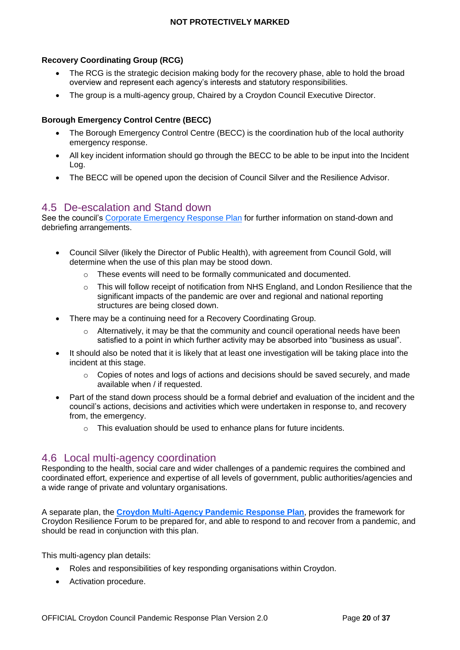#### **Recovery Coordinating Group (RCG)**

- The RCG is the strategic decision making body for the recovery phase, able to hold the broad overview and represent each agency's interests and statutory responsibilities.
- The group is a multi-agency group, Chaired by a Croydon Council Executive Director.

#### **Borough Emergency Control Centre (BECC)**

- The Borough Emergency Control Centre (BECC) is the coordination hub of the local authority emergency response.
- All key incident information should go through the BECC to be able to be input into the Incident Log.
- The BECC will be opened upon the decision of Council Silver and the Resilience Advisor.

#### <span id="page-19-0"></span>4.5 De-escalation and Stand down

See the council's Corporate Emergency Response Plan for further information on stand-down and debriefing arrangements.

- Council Silver (likely the Director of Public Health), with agreement from Council Gold, will determine when the use of this plan may be stood down.
	- o These events will need to be formally communicated and documented.
	- $\circ$  This will follow receipt of notification from NHS England, and London Resilience that the significant impacts of the pandemic are over and regional and national reporting structures are being closed down.
- There may be a continuing need for a Recovery Coordinating Group.
	- $\circ$  Alternatively, it may be that the community and council operational needs have been satisfied to a point in which further activity may be absorbed into "business as usual".
- It should also be noted that it is likely that at least one investigation will be taking place into the incident at this stage.
	- o Copies of notes and logs of actions and decisions should be saved securely, and made available when / if requested.
- Part of the stand down process should be a formal debrief and evaluation of the incident and the council's actions, decisions and activities which were undertaken in response to, and recovery from, the emergency.
	- o This evaluation should be used to enhance plans for future incidents.

## <span id="page-19-1"></span>4.6 Local multi-agency coordination

Responding to the health, social care and wider challenges of a pandemic requires the combined and coordinated effort, experience and expertise of all levels of government, public authorities/agencies and a wide range of private and voluntary organisations.

A separate plan, the **Croydon Multi-Agency Pandemic Response Plan**, provides the framework for Croydon Resilience Forum to be prepared for, and able to respond to and recover from a pandemic, and should be read in conjunction with this plan.

This multi-agency plan details:

- Roles and responsibilities of key responding organisations within Croydon.
- Activation procedure.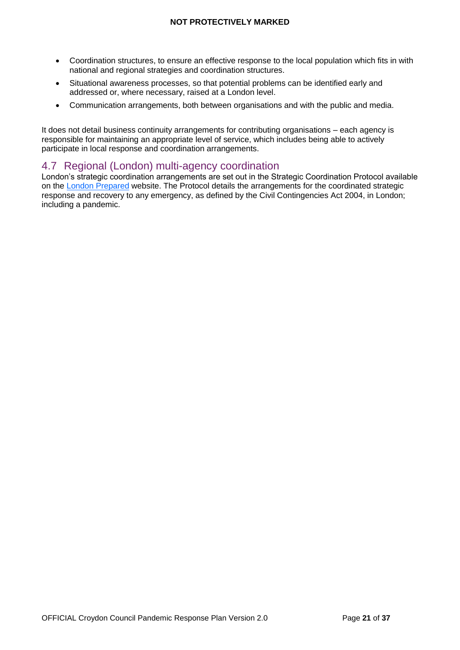- Coordination structures, to ensure an effective response to the local population which fits in with national and regional strategies and coordination structures.
- Situational awareness processes, so that potential problems can be identified early and addressed or, where necessary, raised at a London level.
- Communication arrangements, both between organisations and with the public and media.

It does not detail business continuity arrangements for contributing organisations – each agency is responsible for maintaining an appropriate level of service, which includes being able to actively participate in local response and coordination arrangements.

# <span id="page-20-0"></span>4.7 Regional (London) multi-agency coordination

London's strategic coordination arrangements are set out in the Strategic Coordination Protocol available on the [London Prepared](https://www.london.gov.uk/about-us/organisations-we-work/london-prepared/planning-emergencies-capital) website. The Protocol details the arrangements for the coordinated strategic response and recovery to any emergency, as defined by the Civil Contingencies Act 2004, in London; including a pandemic.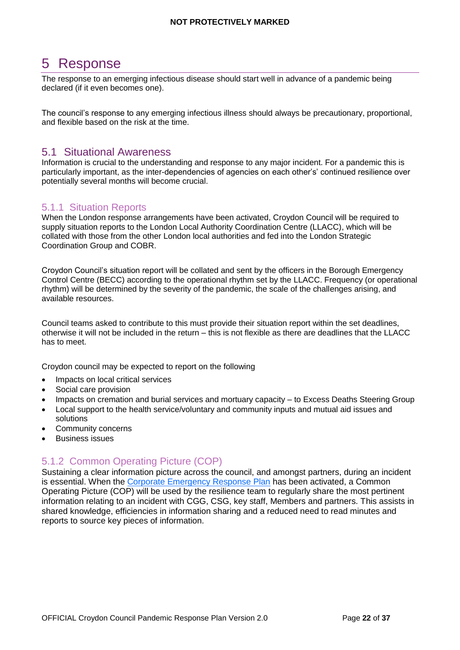# <span id="page-21-0"></span>5 Response

The response to an emerging infectious disease should start well in advance of a pandemic being declared (if it even becomes one).

The council's response to any emerging infectious illness should always be precautionary, proportional, and flexible based on the risk at the time.

## <span id="page-21-1"></span>5.1 Situational Awareness

Information is crucial to the understanding and response to any major incident. For a pandemic this is particularly important, as the inter-dependencies of agencies on each other's' continued resilience over potentially several months will become crucial.

## <span id="page-21-2"></span>5.1.1 Situation Reports

When the London response arrangements have been activated, Croydon Council will be required to supply situation reports to the London Local Authority Coordination Centre (LLACC), which will be collated with those from the other London local authorities and fed into the London Strategic Coordination Group and COBR.

Croydon Council's situation report will be collated and sent by the officers in the Borough Emergency Control Centre (BECC) according to the operational rhythm set by the LLACC. Frequency (or operational rhythm) will be determined by the severity of the pandemic, the scale of the challenges arising, and available resources.

Council teams asked to contribute to this must provide their situation report within the set deadlines, otherwise it will not be included in the return – this is not flexible as there are deadlines that the LLACC has to meet.

Croydon council may be expected to report on the following

- Impacts on local critical services
- Social care provision
- Impacts on cremation and burial services and mortuary capacity to Excess Deaths Steering Group
- Local support to the health service/voluntary and community inputs and mutual aid issues and solutions
- Community concerns
- Business issues

#### <span id="page-21-3"></span>5.1.2 Common Operating Picture (COP)

<span id="page-21-4"></span>Sustaining a clear information picture across the council, and amongst partners, during an incident is essential. When the Corporate Emergency Response Plan has been activated, a Common Operating Picture (COP) will be used by the resilience team to regularly share the most pertinent information relating to an incident with CGG, CSG, key staff, Members and partners. This assists in shared knowledge, efficiencies in information sharing and a reduced need to read minutes and reports to source key pieces of information.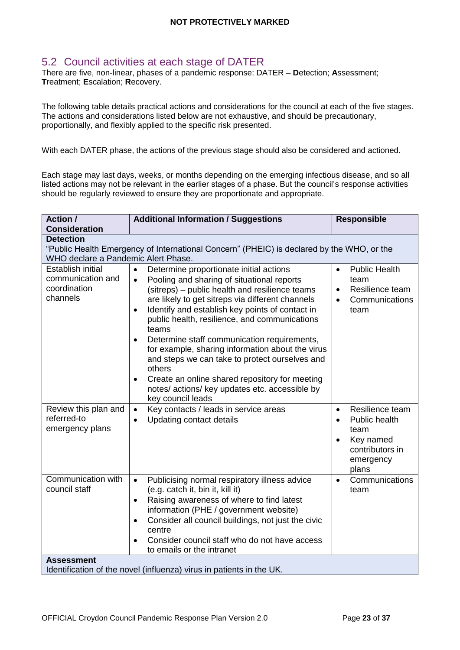# <span id="page-22-0"></span>5.2 Council activities at each stage of DATER

There are five, non-linear, phases of a pandemic response: DATER – **D**etection; **A**ssessment; **T**reatment; **E**scalation; **R**ecovery.

The following table details practical actions and considerations for the council at each of the five stages. The actions and considerations listed below are not exhaustive, and should be precautionary, proportionally, and flexibly applied to the specific risk presented.

With each DATER phase, the actions of the previous stage should also be considered and actioned.

Each stage may last days, weeks, or months depending on the emerging infectious disease, and so all listed actions may not be relevant in the earlier stages of a phase. But the council's response activities should be regularly reviewed to ensure they are proportionate and appropriate.

| <b>Action /</b>                                                                           | <b>Additional Information / Suggestions</b>                                                                                                                                                                                                                                                                                                                                                                                                                                                                                                                                                                                                                       | <b>Responsible</b>                                                                                                       |  |  |  |  |  |
|-------------------------------------------------------------------------------------------|-------------------------------------------------------------------------------------------------------------------------------------------------------------------------------------------------------------------------------------------------------------------------------------------------------------------------------------------------------------------------------------------------------------------------------------------------------------------------------------------------------------------------------------------------------------------------------------------------------------------------------------------------------------------|--------------------------------------------------------------------------------------------------------------------------|--|--|--|--|--|
| <b>Consideration</b>                                                                      |                                                                                                                                                                                                                                                                                                                                                                                                                                                                                                                                                                                                                                                                   |                                                                                                                          |  |  |  |  |  |
|                                                                                           | <b>Detection</b><br>"Public Health Emergency of International Concern" (PHEIC) is declared by the WHO, or the                                                                                                                                                                                                                                                                                                                                                                                                                                                                                                                                                     |                                                                                                                          |  |  |  |  |  |
| WHO declare a Pandemic Alert Phase.                                                       |                                                                                                                                                                                                                                                                                                                                                                                                                                                                                                                                                                                                                                                                   |                                                                                                                          |  |  |  |  |  |
| <b>Establish initial</b><br>communication and<br>coordination<br>channels                 | Determine proportionate initial actions<br>$\bullet$<br>Pooling and sharing of situational reports<br>$\bullet$<br>(sitreps) – public health and resilience teams<br>are likely to get sitreps via different channels<br>Identify and establish key points of contact in<br>$\bullet$<br>public health, resilience, and communications<br>teams<br>Determine staff communication requirements,<br>$\bullet$<br>for example, sharing information about the virus<br>and steps we can take to protect ourselves and<br>others<br>Create an online shared repository for meeting<br>$\bullet$<br>notes/ actions/ key updates etc. accessible by<br>key council leads | <b>Public Health</b><br>$\bullet$<br>team<br>Resilience team<br>$\bullet$<br>Communications<br>$\bullet$<br>team         |  |  |  |  |  |
| Review this plan and<br>referred-to<br>emergency plans                                    | Key contacts / leads in service areas<br>$\bullet$<br>Updating contact details<br>$\bullet$                                                                                                                                                                                                                                                                                                                                                                                                                                                                                                                                                                       | Resilience team<br>$\bullet$<br>Public health<br>$\bullet$<br>team<br>Key named<br>contributors in<br>emergency<br>plans |  |  |  |  |  |
| Communication with<br>council staff                                                       | Publicising normal respiratory illness advice<br>$\bullet$<br>(e.g. catch it, bin it, kill it)<br>Raising awareness of where to find latest<br>$\bullet$<br>information (PHE / government website)<br>Consider all council buildings, not just the civic<br>$\bullet$<br>centre<br>Consider council staff who do not have access<br>$\bullet$<br>to emails or the intranet                                                                                                                                                                                                                                                                                        | Communications<br>$\bullet$<br>team                                                                                      |  |  |  |  |  |
| <b>Assessment</b><br>Identification of the novel (influenza) virus in patients in the UK. |                                                                                                                                                                                                                                                                                                                                                                                                                                                                                                                                                                                                                                                                   |                                                                                                                          |  |  |  |  |  |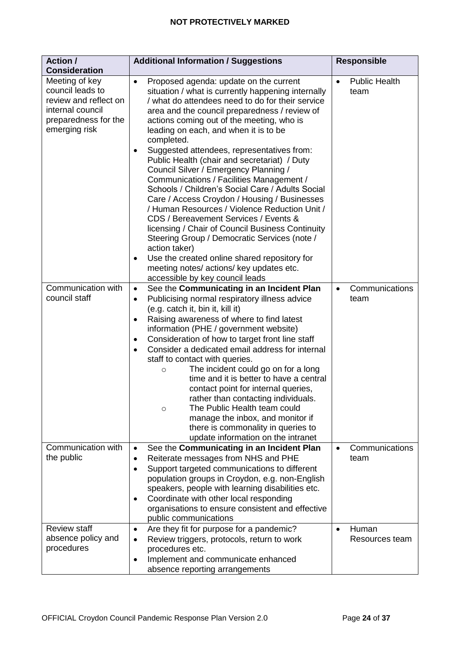| Action /                                                                                                                 | <b>Additional Information / Suggestions</b>                                                                                                                                                                                                                                                                                                                                                                                                                                                                                                                                                                                                                                                                                                                                                                                                                                                                                                                     | <b>Responsible</b>                        |
|--------------------------------------------------------------------------------------------------------------------------|-----------------------------------------------------------------------------------------------------------------------------------------------------------------------------------------------------------------------------------------------------------------------------------------------------------------------------------------------------------------------------------------------------------------------------------------------------------------------------------------------------------------------------------------------------------------------------------------------------------------------------------------------------------------------------------------------------------------------------------------------------------------------------------------------------------------------------------------------------------------------------------------------------------------------------------------------------------------|-------------------------------------------|
| <b>Consideration</b>                                                                                                     |                                                                                                                                                                                                                                                                                                                                                                                                                                                                                                                                                                                                                                                                                                                                                                                                                                                                                                                                                                 |                                           |
| Meeting of key<br>council leads to<br>review and reflect on<br>internal council<br>preparedness for the<br>emerging risk | Proposed agenda: update on the current<br>$\bullet$<br>situation / what is currently happening internally<br>what do attendees need to do for their service<br>area and the council preparedness / review of<br>actions coming out of the meeting, who is<br>leading on each, and when it is to be<br>completed.<br>Suggested attendees, representatives from:<br>٠<br>Public Health (chair and secretariat) / Duty<br>Council Silver / Emergency Planning /<br>Communications / Facilities Management /<br>Schools / Children's Social Care / Adults Social<br>Care / Access Croydon / Housing / Businesses<br>/ Human Resources / Violence Reduction Unit /<br>CDS / Bereavement Services / Events &<br>licensing / Chair of Council Business Continuity<br>Steering Group / Democratic Services (note /<br>action taker)<br>Use the created online shared repository for<br>٠<br>meeting notes/ actions/ key updates etc.<br>accessible by key council leads | <b>Public Health</b><br>$\bullet$<br>team |
| Communication with<br>council staff                                                                                      | See the Communicating in an Incident Plan<br>$\bullet$<br>Publicising normal respiratory illness advice<br>$\bullet$<br>(e.g. catch it, bin it, kill it)<br>Raising awareness of where to find latest<br>$\bullet$<br>information (PHE / government website)<br>Consideration of how to target front line staff<br>٠<br>Consider a dedicated email address for internal<br>$\bullet$<br>staff to contact with queries.<br>The incident could go on for a long<br>O<br>time and it is better to have a central<br>contact point for internal queries,<br>rather than contacting individuals.<br>The Public Health team could<br>$\circ$<br>manage the inbox, and monitor if<br>there is commonality in queries to<br>update information on the intranet                                                                                                                                                                                                          | Communications<br>$\bullet$<br>team       |
| Communication with<br>the public                                                                                         | See the Communicating in an Incident Plan<br>$\bullet$<br>Reiterate messages from NHS and PHE<br>$\bullet$<br>Support targeted communications to different<br>$\bullet$<br>population groups in Croydon, e.g. non-English<br>speakers, people with learning disabilities etc.<br>Coordinate with other local responding<br>$\bullet$<br>organisations to ensure consistent and effective<br>public communications                                                                                                                                                                                                                                                                                                                                                                                                                                                                                                                                               | Communications<br>$\bullet$<br>team       |
| <b>Review staff</b><br>absence policy and<br>procedures                                                                  | Are they fit for purpose for a pandemic?<br>$\bullet$<br>Review triggers, protocols, return to work<br>$\bullet$<br>procedures etc.<br>Implement and communicate enhanced<br>$\bullet$<br>absence reporting arrangements                                                                                                                                                                                                                                                                                                                                                                                                                                                                                                                                                                                                                                                                                                                                        | Human<br>$\bullet$<br>Resources team      |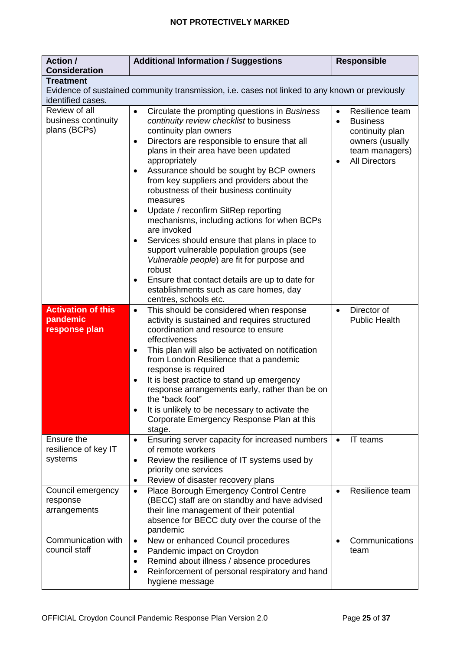| <b>Action /</b><br><b>Consideration</b> | <b>Additional Information / Suggestions</b>                                                    | <b>Responsible</b>           |
|-----------------------------------------|------------------------------------------------------------------------------------------------|------------------------------|
| <b>Treatment</b>                        |                                                                                                |                              |
|                                         | Evidence of sustained community transmission, i.e. cases not linked to any known or previously |                              |
| identified cases.                       |                                                                                                |                              |
| Review of all                           | Circulate the prompting questions in Business<br>$\bullet$                                     | Resilience team<br>$\bullet$ |
| business continuity                     | continuity review checklist to business                                                        | <b>Business</b><br>$\bullet$ |
| plans (BCPs)                            | continuity plan owners                                                                         | continuity plan              |
|                                         | Directors are responsible to ensure that all<br>$\bullet$                                      | owners (usually              |
|                                         | plans in their area have been updated                                                          | team managers)               |
|                                         | appropriately                                                                                  | <b>All Directors</b>         |
|                                         | Assurance should be sought by BCP owners<br>$\bullet$                                          |                              |
|                                         | from key suppliers and providers about the                                                     |                              |
|                                         | robustness of their business continuity                                                        |                              |
|                                         | measures                                                                                       |                              |
|                                         | Update / reconfirm SitRep reporting<br>$\bullet$                                               |                              |
|                                         | mechanisms, including actions for when BCPs                                                    |                              |
|                                         | are invoked                                                                                    |                              |
|                                         | Services should ensure that plans in place to<br>$\bullet$                                     |                              |
|                                         | support vulnerable population groups (see                                                      |                              |
|                                         | Vulnerable people) are fit for purpose and<br>robust                                           |                              |
|                                         | Ensure that contact details are up to date for                                                 |                              |
|                                         | $\bullet$<br>establishments such as care homes, day                                            |                              |
|                                         | centres, schools etc.                                                                          |                              |
| <b>Activation of this</b>               | This should be considered when response<br>$\bullet$                                           | Director of<br>$\bullet$     |
| pandemic                                | activity is sustained and requires structured                                                  | <b>Public Health</b>         |
| response plan                           | coordination and resource to ensure                                                            |                              |
|                                         | effectiveness                                                                                  |                              |
|                                         | This plan will also be activated on notification<br>$\bullet$                                  |                              |
|                                         | from London Resilience that a pandemic                                                         |                              |
|                                         | response is required                                                                           |                              |
|                                         | It is best practice to stand up emergency<br>$\bullet$                                         |                              |
|                                         | response arrangements early, rather than be on                                                 |                              |
|                                         | the "back foot"                                                                                |                              |
|                                         | It is unlikely to be necessary to activate the<br>$\bullet$                                    |                              |
|                                         | Corporate Emergency Response Plan at this                                                      |                              |
|                                         | stage.                                                                                         |                              |
| Ensure the                              | Ensuring server capacity for increased numbers<br>$\bullet$                                    | IT teams<br>$\bullet$        |
| resilience of key IT                    | of remote workers                                                                              |                              |
| systems                                 | Review the resilience of IT systems used by<br>$\bullet$<br>priority one services              |                              |
|                                         | Review of disaster recovery plans                                                              |                              |
| Council emergency                       | $\bullet$<br>Place Borough Emergency Control Centre                                            |                              |
| response                                | $\bullet$<br>(BECC) staff are on standby and have advised                                      | Resilience team<br>$\bullet$ |
| arrangements                            | their line management of their potential                                                       |                              |
|                                         | absence for BECC duty over the course of the                                                   |                              |
|                                         | pandemic                                                                                       |                              |
| Communication with                      | New or enhanced Council procedures<br>$\bullet$                                                | Communications<br>$\bullet$  |
| council staff                           | Pandemic impact on Croydon<br>$\bullet$                                                        | team                         |
|                                         | Remind about illness / absence procedures<br>$\bullet$                                         |                              |
|                                         | Reinforcement of personal respiratory and hand<br>$\bullet$                                    |                              |
|                                         | hygiene message                                                                                |                              |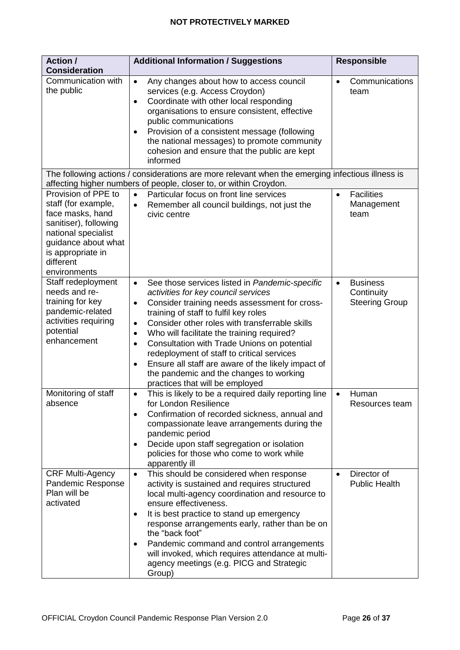| <b>Action /</b>                                                                                                                                                                         | <b>Additional Information / Suggestions</b>                                                                                                                                                                                                                                                                                                                                                                                                                                                                                                                                                    | <b>Responsible</b>                                                  |
|-----------------------------------------------------------------------------------------------------------------------------------------------------------------------------------------|------------------------------------------------------------------------------------------------------------------------------------------------------------------------------------------------------------------------------------------------------------------------------------------------------------------------------------------------------------------------------------------------------------------------------------------------------------------------------------------------------------------------------------------------------------------------------------------------|---------------------------------------------------------------------|
| <b>Consideration</b><br>Communication with<br>the public                                                                                                                                | Any changes about how to access council<br>$\bullet$<br>services (e.g. Access Croydon)<br>Coordinate with other local responding<br>$\bullet$<br>organisations to ensure consistent, effective<br>public communications<br>Provision of a consistent message (following<br>the national messages) to promote community<br>cohesion and ensure that the public are kept<br>informed                                                                                                                                                                                                             | Communications<br>$\bullet$<br>team                                 |
|                                                                                                                                                                                         | The following actions / considerations are more relevant when the emerging infectious illness is<br>affecting higher numbers of people, closer to, or within Croydon.                                                                                                                                                                                                                                                                                                                                                                                                                          |                                                                     |
| Provision of PPE to<br>staff (for example,<br>face masks, hand<br>sanitiser), following<br>national specialist<br>guidance about what<br>is appropriate in<br>different<br>environments | Particular focus on front line services<br>$\bullet$<br>Remember all council buildings, not just the<br>$\bullet$<br>civic centre                                                                                                                                                                                                                                                                                                                                                                                                                                                              | <b>Facilities</b><br>$\bullet$<br>Management<br>team                |
| Staff redeployment<br>needs and re-<br>training for key<br>pandemic-related<br>activities requiring<br>potential<br>enhancement                                                         | See those services listed in Pandemic-specific<br>$\bullet$<br>activities for key council services<br>Consider training needs assessment for cross-<br>$\bullet$<br>training of staff to fulfil key roles<br>Consider other roles with transferrable skills<br>$\bullet$<br>Who will facilitate the training required?<br>$\bullet$<br>Consultation with Trade Unions on potential<br>$\bullet$<br>redeployment of staff to critical services<br>Ensure all staff are aware of the likely impact of<br>$\bullet$<br>the pandemic and the changes to working<br>practices that will be employed | <b>Business</b><br>$\bullet$<br>Continuity<br><b>Steering Group</b> |
| Monitoring of staff<br>absence                                                                                                                                                          | This is likely to be a required daily reporting line<br>$\bullet$<br>for London Resilience<br>Confirmation of recorded sickness, annual and<br>$\bullet$<br>compassionate leave arrangements during the<br>pandemic period<br>Decide upon staff segregation or isolation<br>$\bullet$<br>policies for those who come to work while<br>apparently ill                                                                                                                                                                                                                                           | Human<br>$\bullet$<br>Resources team                                |
| <b>CRF Multi-Agency</b><br>Pandemic Response<br>Plan will be<br>activated                                                                                                               | This should be considered when response<br>$\bullet$<br>activity is sustained and requires structured<br>local multi-agency coordination and resource to<br>ensure effectiveness.<br>It is best practice to stand up emergency<br>$\bullet$<br>response arrangements early, rather than be on<br>the "back foot"<br>Pandemic command and control arrangements<br>will invoked, which requires attendance at multi-<br>agency meetings (e.g. PICG and Strategic<br>Group)                                                                                                                       | Director of<br>$\bullet$<br><b>Public Health</b>                    |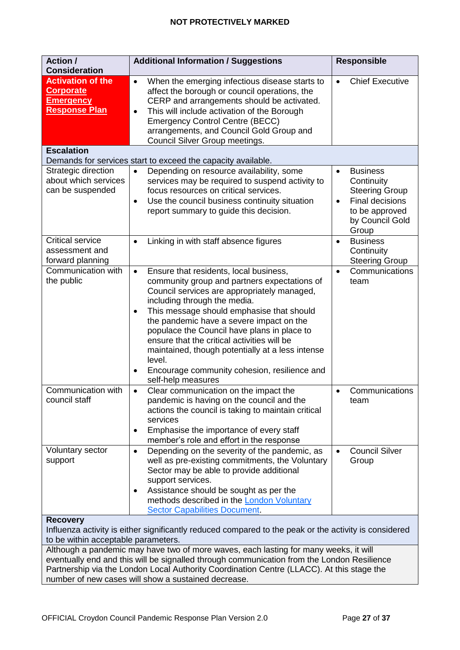| <b>Action /</b>                                                                                                                                                                                                                                                                                                                        | <b>Additional Information / Suggestions</b>                                                                                                                                                                                                                                                                                                                                                                                                                                                                                             | <b>Responsible</b>                                                                                                                   |
|----------------------------------------------------------------------------------------------------------------------------------------------------------------------------------------------------------------------------------------------------------------------------------------------------------------------------------------|-----------------------------------------------------------------------------------------------------------------------------------------------------------------------------------------------------------------------------------------------------------------------------------------------------------------------------------------------------------------------------------------------------------------------------------------------------------------------------------------------------------------------------------------|--------------------------------------------------------------------------------------------------------------------------------------|
| <b>Consideration</b>                                                                                                                                                                                                                                                                                                                   |                                                                                                                                                                                                                                                                                                                                                                                                                                                                                                                                         |                                                                                                                                      |
| <b>Activation of the</b><br><b>Corporate</b><br><u>Emergency</u><br><b>Response Plan</b>                                                                                                                                                                                                                                               | When the emerging infectious disease starts to<br>$\bullet$<br>affect the borough or council operations, the<br>CERP and arrangements should be activated.<br>This will include activation of the Borough<br>$\bullet$<br><b>Emergency Control Centre (BECC)</b><br>arrangements, and Council Gold Group and<br>Council Silver Group meetings.                                                                                                                                                                                          | <b>Chief Executive</b><br>$\bullet$                                                                                                  |
| <b>Escalation</b>                                                                                                                                                                                                                                                                                                                      | Demands for services start to exceed the capacity available.                                                                                                                                                                                                                                                                                                                                                                                                                                                                            |                                                                                                                                      |
| Strategic direction<br>about which services<br>can be suspended                                                                                                                                                                                                                                                                        | Depending on resource availability, some<br>$\bullet$<br>services may be required to suspend activity to<br>focus resources on critical services.<br>Use the council business continuity situation<br>$\bullet$<br>report summary to guide this decision.                                                                                                                                                                                                                                                                               | <b>Business</b><br>$\bullet$<br>Continuity<br><b>Steering Group</b><br>Final decisions<br>to be approved<br>by Council Gold<br>Group |
| <b>Critical service</b><br>assessment and<br>forward planning                                                                                                                                                                                                                                                                          | Linking in with staff absence figures<br>$\bullet$                                                                                                                                                                                                                                                                                                                                                                                                                                                                                      | <b>Business</b><br>$\bullet$<br>Continuity<br><b>Steering Group</b>                                                                  |
| Communication with<br>the public                                                                                                                                                                                                                                                                                                       | Ensure that residents, local business,<br>$\bullet$<br>community group and partners expectations of<br>Council services are appropriately managed,<br>including through the media.<br>This message should emphasise that should<br>$\bullet$<br>the pandemic have a severe impact on the<br>populace the Council have plans in place to<br>ensure that the critical activities will be<br>maintained, though potentially at a less intense<br>level.<br>Encourage community cohesion, resilience and<br>$\bullet$<br>self-help measures | Communications<br>$\bullet$<br>team                                                                                                  |
| Communication with<br>council staff                                                                                                                                                                                                                                                                                                    | Clear communication on the impact the<br>$\bullet$<br>pandemic is having on the council and the<br>actions the council is taking to maintain critical<br>services<br>Emphasise the importance of every staff<br>$\bullet$<br>member's role and effort in the response                                                                                                                                                                                                                                                                   | Communications<br>$\bullet$<br>team                                                                                                  |
| Voluntary sector<br>support                                                                                                                                                                                                                                                                                                            | Depending on the severity of the pandemic, as<br>$\bullet$<br>well as pre-existing commitments, the Voluntary<br>Sector may be able to provide additional<br>support services.<br>Assistance should be sought as per the<br>$\bullet$<br>methods described in the London Voluntary<br><b>Sector Capabilities Document.</b>                                                                                                                                                                                                              | <b>Council Silver</b><br>$\bullet$<br>Group                                                                                          |
| <b>Recovery</b><br>Influenza activity is either significantly reduced compared to the peak or the activity is considered<br>to be within acceptable parameters.                                                                                                                                                                        |                                                                                                                                                                                                                                                                                                                                                                                                                                                                                                                                         |                                                                                                                                      |
| Although a pandemic may have two of more waves, each lasting for many weeks, it will<br>eventually end and this will be signalled through communication from the London Resilience<br>Partnership via the London Local Authority Coordination Centre (LLACC). At this stage the<br>number of new cases will show a sustained decrease. |                                                                                                                                                                                                                                                                                                                                                                                                                                                                                                                                         |                                                                                                                                      |

number of new cases will show a sustained decrease.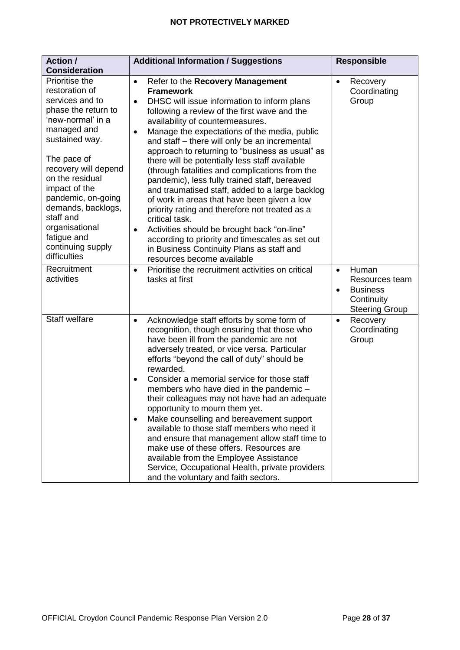| <b>Action /</b>                                                                                                                                                                            | <b>Additional Information / Suggestions</b>                                                                                                                                                                                                                                                                                                                                                                                                                                                                                                                                                                                                                                                                                                                                                       | <b>Responsible</b>                                                                             |
|--------------------------------------------------------------------------------------------------------------------------------------------------------------------------------------------|---------------------------------------------------------------------------------------------------------------------------------------------------------------------------------------------------------------------------------------------------------------------------------------------------------------------------------------------------------------------------------------------------------------------------------------------------------------------------------------------------------------------------------------------------------------------------------------------------------------------------------------------------------------------------------------------------------------------------------------------------------------------------------------------------|------------------------------------------------------------------------------------------------|
| <b>Consideration</b>                                                                                                                                                                       |                                                                                                                                                                                                                                                                                                                                                                                                                                                                                                                                                                                                                                                                                                                                                                                                   |                                                                                                |
| Prioritise the<br>restoration of<br>services and to<br>phase the return to<br>'new-normal' in a<br>managed and<br>sustained way.<br>The pace of<br>recovery will depend<br>on the residual | Refer to the Recovery Management<br>$\bullet$<br><b>Framework</b><br>DHSC will issue information to inform plans<br>$\bullet$<br>following a review of the first wave and the<br>availability of countermeasures.<br>Manage the expectations of the media, public<br>$\bullet$<br>and staff - there will only be an incremental<br>approach to returning to "business as usual" as<br>there will be potentially less staff available<br>(through fatalities and complications from the<br>pandemic), less fully trained staff, bereaved                                                                                                                                                                                                                                                           | Recovery<br>$\bullet$<br>Coordinating<br>Group                                                 |
| impact of the<br>pandemic, on-going<br>demands, backlogs,<br>staff and<br>organisational<br>fatigue and<br>continuing supply<br>difficulties                                               | and traumatised staff, added to a large backlog<br>of work in areas that have been given a low<br>priority rating and therefore not treated as a<br>critical task.<br>Activities should be brought back "on-line"<br>$\bullet$<br>according to priority and timescales as set out<br>in Business Continuity Plans as staff and<br>resources become available                                                                                                                                                                                                                                                                                                                                                                                                                                      |                                                                                                |
| Recruitment<br>activities                                                                                                                                                                  | Prioritise the recruitment activities on critical<br>$\bullet$<br>tasks at first                                                                                                                                                                                                                                                                                                                                                                                                                                                                                                                                                                                                                                                                                                                  | Human<br>$\bullet$<br>Resources team<br><b>Business</b><br>Continuity<br><b>Steering Group</b> |
| Staff welfare                                                                                                                                                                              | Acknowledge staff efforts by some form of<br>$\bullet$<br>recognition, though ensuring that those who<br>have been ill from the pandemic are not<br>adversely treated, or vice versa. Particular<br>efforts "beyond the call of duty" should be<br>rewarded.<br>Consider a memorial service for those staff<br>$\bullet$<br>members who have died in the pandemic -<br>their colleagues may not have had an adequate<br>opportunity to mourn them yet.<br>Make counselling and bereavement support<br>$\bullet$<br>available to those staff members who need it<br>and ensure that management allow staff time to<br>make use of these offers. Resources are<br>available from the Employee Assistance<br>Service, Occupational Health, private providers<br>and the voluntary and faith sectors. | Recovery<br>$\bullet$<br>Coordinating<br>Group                                                 |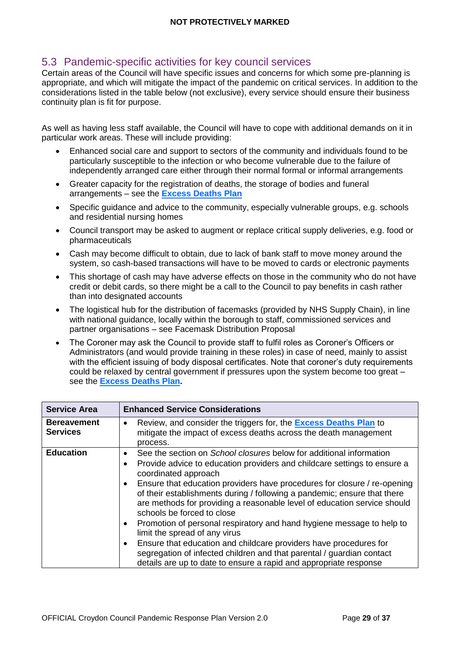# <span id="page-28-0"></span>5.3 Pandemic-specific activities for key council services

Certain areas of the Council will have specific issues and concerns for which some pre-planning is appropriate, and which will mitigate the impact of the pandemic on critical services. In addition to the considerations listed in the table below (not exclusive), every service should ensure their business continuity plan is fit for purpose.

As well as having less staff available, the Council will have to cope with additional demands on it in particular work areas. These will include providing:

- Enhanced social care and support to sectors of the community and individuals found to be particularly susceptible to the infection or who become vulnerable due to the failure of independently arranged care either through their normal formal or informal arrangements
- Greater capacity for the registration of deaths, the storage of bodies and funeral arrangements – see the **Excess Deaths Plan**
- Specific guidance and advice to the community, especially vulnerable groups, e.g. schools and residential nursing homes
- Council transport may be asked to augment or replace critical supply deliveries, e.g. food or pharmaceuticals
- Cash may become difficult to obtain, due to lack of bank staff to move money around the system, so cash-based transactions will have to be moved to cards or electronic payments
- This shortage of cash may have adverse effects on those in the community who do not have credit or debit cards, so there might be a call to the Council to pay benefits in cash rather than into designated accounts
- The logistical hub for the distribution of facemasks (provided by NHS Supply Chain), in line with national guidance, locally within the borough to staff, commissioned services and partner organisations – see Facemask Distribution Proposal
- The Coroner may ask the Council to provide staff to fulfil roles as Coroner's Officers or Administrators (and would provide training in these roles) in case of need, mainly to assist with the efficient issuing of body disposal certificates. Note that coroner's duty requirements could be relaxed by central government if pressures upon the system become too great – see the **Excess Deaths Plan.**

| <b>Service Area</b>                   | <b>Enhanced Service Considerations</b>                                                                                                                                                                                                                                                                                                                                                                                                                                                                                                                                                                                                                                                                                                                                                                                                  |
|---------------------------------------|-----------------------------------------------------------------------------------------------------------------------------------------------------------------------------------------------------------------------------------------------------------------------------------------------------------------------------------------------------------------------------------------------------------------------------------------------------------------------------------------------------------------------------------------------------------------------------------------------------------------------------------------------------------------------------------------------------------------------------------------------------------------------------------------------------------------------------------------|
| <b>Bereavement</b><br><b>Services</b> | Review, and consider the triggers for, the <b>Excess Deaths Plan</b> to<br>$\bullet$<br>mitigate the impact of excess deaths across the death management<br>process.                                                                                                                                                                                                                                                                                                                                                                                                                                                                                                                                                                                                                                                                    |
| <b>Education</b>                      | See the section on School closures below for additional information<br>$\bullet$<br>Provide advice to education providers and childcare settings to ensure a<br>$\bullet$<br>coordinated approach<br>Ensure that education providers have procedures for closure / re-opening<br>$\bullet$<br>of their establishments during / following a pandemic; ensure that there<br>are methods for providing a reasonable level of education service should<br>schools be forced to close<br>Promotion of personal respiratory and hand hygiene message to help to<br>$\bullet$<br>limit the spread of any virus<br>Ensure that education and childcare providers have procedures for<br>$\bullet$<br>segregation of infected children and that parental / guardian contact<br>details are up to date to ensure a rapid and appropriate response |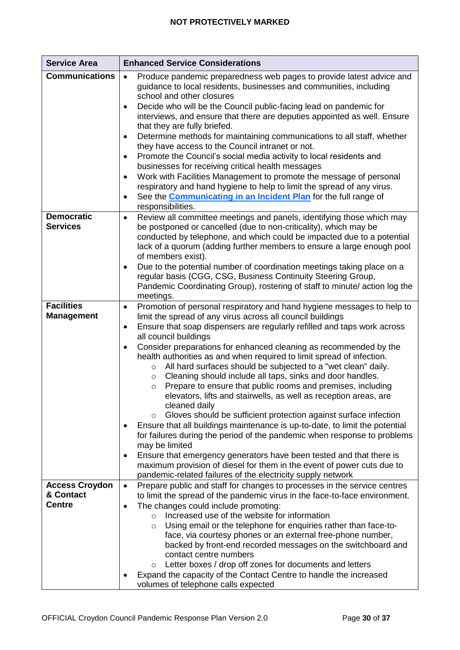| <b>Service Area</b>   | <b>Enhanced Service Considerations</b>                                                                                                             |  |
|-----------------------|----------------------------------------------------------------------------------------------------------------------------------------------------|--|
| <b>Communications</b> | Produce pandemic preparedness web pages to provide latest advice and<br>$\bullet$                                                                  |  |
|                       | guidance to local residents, businesses and communities, including                                                                                 |  |
|                       | school and other closures                                                                                                                          |  |
|                       | Decide who will be the Council public-facing lead on pandemic for<br>٠<br>interviews, and ensure that there are deputies appointed as well. Ensure |  |
|                       | that they are fully briefed.                                                                                                                       |  |
|                       | Determine methods for maintaining communications to all staff, whether<br>$\bullet$                                                                |  |
|                       | they have access to the Council intranet or not.                                                                                                   |  |
|                       | Promote the Council's social media activity to local residents and<br>$\bullet$                                                                    |  |
|                       | businesses for receiving critical health messages                                                                                                  |  |
|                       | Work with Facilities Management to promote the message of personal<br>$\bullet$                                                                    |  |
|                       | respiratory and hand hygiene to help to limit the spread of any virus.                                                                             |  |
|                       | See the <b>Communicating in an Incident Plan</b> for the full range of<br>$\bullet$                                                                |  |
| <b>Democratic</b>     | responsibilities.<br>Review all committee meetings and panels, identifying those which may<br>$\bullet$                                            |  |
| <b>Services</b>       | be postponed or cancelled (due to non-criticality), which may be                                                                                   |  |
|                       | conducted by telephone, and which could be impacted due to a potential                                                                             |  |
|                       | lack of a quorum (adding further members to ensure a large enough pool                                                                             |  |
|                       | of members exist).                                                                                                                                 |  |
|                       | Due to the potential number of coordination meetings taking place on a<br>$\bullet$                                                                |  |
|                       | regular basis (CGG, CSG, Business Continuity Steering Group,                                                                                       |  |
|                       | Pandemic Coordinating Group), rostering of staff to minute/action log the<br>meetings.                                                             |  |
| <b>Facilities</b>     | Promotion of personal respiratory and hand hygiene messages to help to<br>$\bullet$                                                                |  |
| <b>Management</b>     | limit the spread of any virus across all council buildings                                                                                         |  |
|                       | Ensure that soap dispensers are regularly refilled and taps work across<br>$\bullet$                                                               |  |
|                       | all council buildings                                                                                                                              |  |
|                       | Consider preparations for enhanced cleaning as recommended by the<br>$\bullet$                                                                     |  |
|                       | health authorities as and when required to limit spread of infection.                                                                              |  |
|                       | All hard surfaces should be subjected to a "wet clean" daily.<br>$\circ$<br>Cleaning should include all taps, sinks and door handles.<br>$\circ$   |  |
|                       | Prepare to ensure that public rooms and premises, including<br>$\circ$                                                                             |  |
|                       | elevators, lifts and stairwells, as well as reception areas, are                                                                                   |  |
|                       | cleaned daily                                                                                                                                      |  |
|                       | Gloves should be sufficient protection against surface infection<br>$\circ$                                                                        |  |
|                       | Ensure that all buildings maintenance is up-to-date, to limit the potential<br>٠                                                                   |  |
|                       | for failures during the period of the pandemic when response to problems<br>may be limited                                                         |  |
|                       | Ensure that emergency generators have been tested and that there is<br>$\bullet$                                                                   |  |
|                       | maximum provision of diesel for them in the event of power cuts due to                                                                             |  |
|                       | pandemic-related failures of the electricity supply network                                                                                        |  |
| <b>Access Croydon</b> | Prepare public and staff for changes to processes in the service centres<br>$\bullet$                                                              |  |
| & Contact             | to limit the spread of the pandemic virus in the face-to-face environment.                                                                         |  |
| <b>Centre</b>         | The changes could include promoting:<br>$\bullet$                                                                                                  |  |
|                       | Increased use of the website for information<br>$\circ$<br>Using email or the telephone for enquiries rather than face-to-<br>$\circ$              |  |
|                       | face, via courtesy phones or an external free-phone number,                                                                                        |  |
|                       | backed by front-end recorded messages on the switchboard and                                                                                       |  |
|                       | contact centre numbers                                                                                                                             |  |
|                       | Letter boxes / drop off zones for documents and letters<br>$\circ$                                                                                 |  |
|                       | Expand the capacity of the Contact Centre to handle the increased                                                                                  |  |
|                       | volumes of telephone calls expected                                                                                                                |  |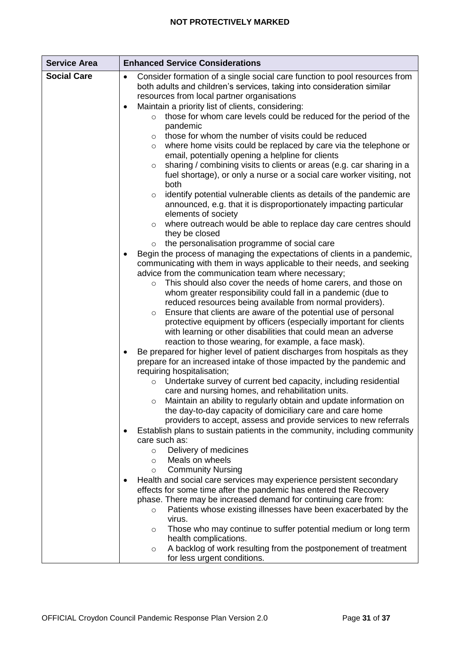| <b>Service Area</b> | <b>Enhanced Service Considerations</b>                                                                                                                                                                                                                                                                                                                                                                                                                                                                                                                                                                                                                                                                                                                                                                                                                                                                                                                                                                                                                                                                                                                                                                                                                                                                              |  |
|---------------------|---------------------------------------------------------------------------------------------------------------------------------------------------------------------------------------------------------------------------------------------------------------------------------------------------------------------------------------------------------------------------------------------------------------------------------------------------------------------------------------------------------------------------------------------------------------------------------------------------------------------------------------------------------------------------------------------------------------------------------------------------------------------------------------------------------------------------------------------------------------------------------------------------------------------------------------------------------------------------------------------------------------------------------------------------------------------------------------------------------------------------------------------------------------------------------------------------------------------------------------------------------------------------------------------------------------------|--|
| <b>Social Care</b>  | Consider formation of a single social care function to pool resources from<br>$\bullet$<br>both adults and children's services, taking into consideration similar<br>resources from local partner organisations<br>Maintain a priority list of clients, considering:<br>those for whom care levels could be reduced for the period of the<br>$\circ$<br>pandemic<br>those for whom the number of visits could be reduced<br>$\circ$<br>where home visits could be replaced by care via the telephone or<br>$\circ$<br>email, potentially opening a helpline for clients<br>sharing / combining visits to clients or areas (e.g. car sharing in a<br>$\circ$<br>fuel shortage), or only a nurse or a social care worker visiting, not<br>both                                                                                                                                                                                                                                                                                                                                                                                                                                                                                                                                                                        |  |
|                     | identify potential vulnerable clients as details of the pandemic are<br>$\circ$<br>announced, e.g. that it is disproportionately impacting particular<br>elements of society<br>where outreach would be able to replace day care centres should<br>$\circ$<br>they be closed                                                                                                                                                                                                                                                                                                                                                                                                                                                                                                                                                                                                                                                                                                                                                                                                                                                                                                                                                                                                                                        |  |
|                     | the personalisation programme of social care<br>$\circ$<br>Begin the process of managing the expectations of clients in a pandemic,<br>$\bullet$<br>communicating with them in ways applicable to their needs, and seeking<br>advice from the communication team where necessary;<br>This should also cover the needs of home carers, and those on<br>$\circ$<br>whom greater responsibility could fall in a pandemic (due to<br>reduced resources being available from normal providers).<br>Ensure that clients are aware of the potential use of personal<br>$\circ$<br>protective equipment by officers (especially important for clients<br>with learning or other disabilities that could mean an adverse<br>reaction to those wearing, for example, a face mask).<br>Be prepared for higher level of patient discharges from hospitals as they<br>$\bullet$<br>prepare for an increased intake of those impacted by the pandemic and<br>requiring hospitalisation;<br>Undertake survey of current bed capacity, including residential<br>$\circ$<br>care and nursing homes, and rehabilitation units.<br>Maintain an ability to regularly obtain and update information on<br>the day-to-day capacity of domiciliary care and care home<br>providers to accept, assess and provide services to new referrals |  |
|                     | Establish plans to sustain patients in the community, including community<br>care such as:<br>Delivery of medicines<br>$\circ$<br>Meals on wheels<br>$\circ$<br><b>Community Nursing</b><br>$\circ$                                                                                                                                                                                                                                                                                                                                                                                                                                                                                                                                                                                                                                                                                                                                                                                                                                                                                                                                                                                                                                                                                                                 |  |
|                     | Health and social care services may experience persistent secondary<br>effects for some time after the pandemic has entered the Recovery<br>phase. There may be increased demand for continuing care from:<br>Patients whose existing illnesses have been exacerbated by the<br>$\circ$<br>virus.<br>Those who may continue to suffer potential medium or long term<br>$\circ$<br>health complications.<br>A backlog of work resulting from the postponement of treatment<br>$\circ$<br>for less urgent conditions.                                                                                                                                                                                                                                                                                                                                                                                                                                                                                                                                                                                                                                                                                                                                                                                                 |  |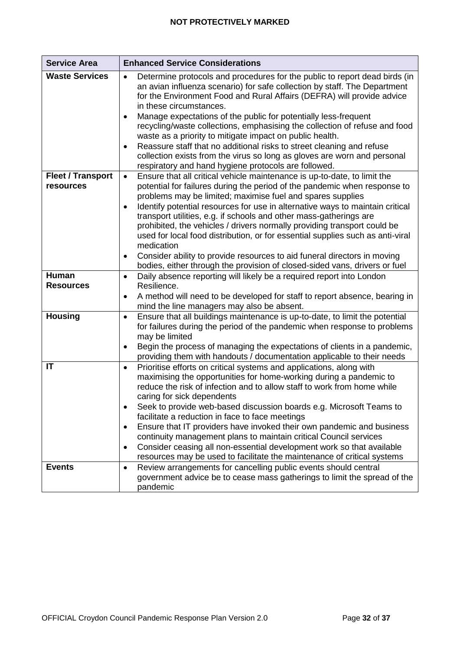| <b>Service Area</b>                   | <b>Enhanced Service Considerations</b>                                                                                                                                                                                                                                                                                                                                                                                                                                                                                                                                                                                                                                                                                             |  |
|---------------------------------------|------------------------------------------------------------------------------------------------------------------------------------------------------------------------------------------------------------------------------------------------------------------------------------------------------------------------------------------------------------------------------------------------------------------------------------------------------------------------------------------------------------------------------------------------------------------------------------------------------------------------------------------------------------------------------------------------------------------------------------|--|
| <b>Waste Services</b>                 | Determine protocols and procedures for the public to report dead birds (in<br>$\bullet$<br>an avian influenza scenario) for safe collection by staff. The Department<br>for the Environment Food and Rural Affairs (DEFRA) will provide advice<br>in these circumstances.<br>Manage expectations of the public for potentially less-frequent<br>recycling/waste collections, emphasising the collection of refuse and food<br>waste as a priority to mitigate impact on public health.<br>Reassure staff that no additional risks to street cleaning and refuse<br>$\bullet$<br>collection exists from the virus so long as gloves are worn and personal                                                                           |  |
|                                       | respiratory and hand hygiene protocols are followed.                                                                                                                                                                                                                                                                                                                                                                                                                                                                                                                                                                                                                                                                               |  |
| <b>Fleet / Transport</b><br>resources | Ensure that all critical vehicle maintenance is up-to-date, to limit the<br>$\bullet$<br>potential for failures during the period of the pandemic when response to<br>problems may be limited; maximise fuel and spares supplies<br>Identify potential resources for use in alternative ways to maintain critical<br>$\bullet$<br>transport utilities, e.g. if schools and other mass-gatherings are<br>prohibited, the vehicles / drivers normally providing transport could be<br>used for local food distribution, or for essential supplies such as anti-viral<br>medication                                                                                                                                                   |  |
|                                       | Consider ability to provide resources to aid funeral directors in moving<br>$\bullet$                                                                                                                                                                                                                                                                                                                                                                                                                                                                                                                                                                                                                                              |  |
| <b>Human</b><br><b>Resources</b>      | bodies, either through the provision of closed-sided vans, drivers or fuel<br>Daily absence reporting will likely be a required report into London<br>$\bullet$<br>Resilience.<br>A method will need to be developed for staff to report absence, bearing in<br>$\bullet$<br>mind the line managers may also be absent.                                                                                                                                                                                                                                                                                                                                                                                                            |  |
| <b>Housing</b>                        | Ensure that all buildings maintenance is up-to-date, to limit the potential<br>$\bullet$<br>for failures during the period of the pandemic when response to problems<br>may be limited<br>Begin the process of managing the expectations of clients in a pandemic,<br>$\bullet$<br>providing them with handouts / documentation applicable to their needs                                                                                                                                                                                                                                                                                                                                                                          |  |
| IT                                    | Prioritise efforts on critical systems and applications, along with<br>$\bullet$<br>maximising the opportunities for home-working during a pandemic to<br>reduce the risk of infection and to allow staff to work from home while<br>caring for sick dependents<br>Seek to provide web-based discussion boards e.g. Microsoft Teams to<br>$\bullet$<br>facilitate a reduction in face to face meetings<br>Ensure that IT providers have invoked their own pandemic and business<br>$\bullet$<br>continuity management plans to maintain critical Council services<br>Consider ceasing all non-essential development work so that available<br>$\bullet$<br>resources may be used to facilitate the maintenance of critical systems |  |
| <b>Events</b>                         | Review arrangements for cancelling public events should central<br>$\bullet$<br>government advice be to cease mass gatherings to limit the spread of the<br>pandemic                                                                                                                                                                                                                                                                                                                                                                                                                                                                                                                                                               |  |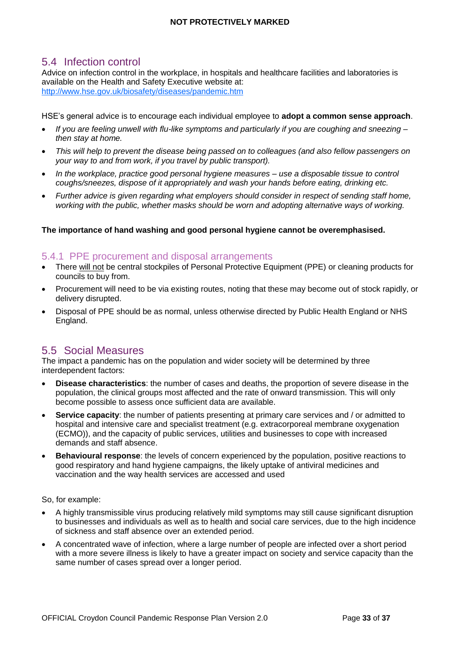# <span id="page-32-0"></span>5.4 Infection control

Advice on infection control in the workplace, in hospitals and healthcare facilities and laboratories is available on the Health and Safety Executive website at: <http://www.hse.gov.uk/biosafety/diseases/pandemic.htm>

HSE's general advice is to encourage each individual employee to **adopt a common sense approach**.

- *If you are feeling unwell with flu-like symptoms and particularly if you are coughing and sneezing – then stay at home.*
- *This will help to prevent the disease being passed on to colleagues (and also fellow passengers on your way to and from work, if you travel by public transport).*
- *In the workplace, practice good personal hygiene measures – use a disposable tissue to control coughs/sneezes, dispose of it appropriately and wash your hands before eating, drinking etc.*
- *Further advice is given regarding what employers should consider in respect of sending staff home, working with the public, whether masks should be worn and adopting alternative ways of working.*

**The importance of hand washing and good personal hygiene cannot be overemphasised.**

#### <span id="page-32-1"></span>5.4.1 PPE procurement and disposal arrangements

- There will not be central stockpiles of Personal Protective Equipment (PPE) or cleaning products for councils to buy from.
- Procurement will need to be via existing routes, noting that these may become out of stock rapidly, or delivery disrupted.
- Disposal of PPE should be as normal, unless otherwise directed by Public Health England or NHS England.

# <span id="page-32-2"></span>5.5 Social Measures

The impact a pandemic has on the population and wider society will be determined by three interdependent factors:

- **Disease characteristics**: the number of cases and deaths, the proportion of severe disease in the population, the clinical groups most affected and the rate of onward transmission. This will only become possible to assess once sufficient data are available.
- **Service capacity**: the number of patients presenting at primary care services and / or admitted to hospital and intensive care and specialist treatment (e.g. extracorporeal membrane oxygenation (ECMO)), and the capacity of public services, utilities and businesses to cope with increased demands and staff absence.
- **Behavioural response**: the levels of concern experienced by the population, positive reactions to good respiratory and hand hygiene campaigns, the likely uptake of antiviral medicines and vaccination and the way health services are accessed and used

So, for example:

- A highly transmissible virus producing relatively mild symptoms may still cause significant disruption to businesses and individuals as well as to health and social care services, due to the high incidence of sickness and staff absence over an extended period.
- A concentrated wave of infection, where a large number of people are infected over a short period with a more severe illness is likely to have a greater impact on society and service capacity than the same number of cases spread over a longer period.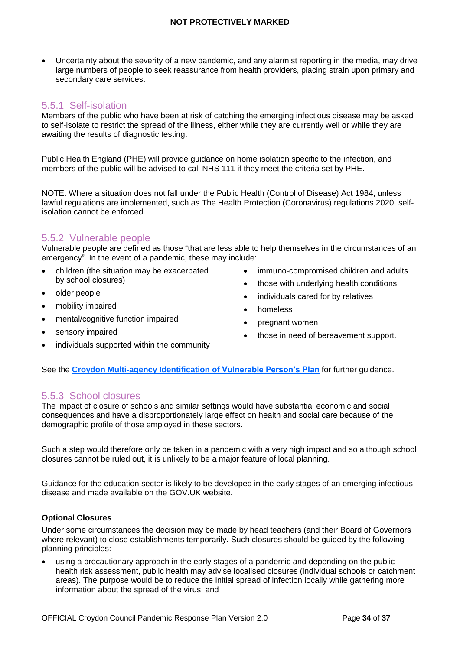Uncertainty about the severity of a new pandemic, and any alarmist reporting in the media, may drive large numbers of people to seek reassurance from health providers, placing strain upon primary and secondary care services.

## <span id="page-33-0"></span>5.5.1 Self-isolation

Members of the public who have been at risk of catching the emerging infectious disease may be asked to self-isolate to restrict the spread of the illness, either while they are currently well or while they are awaiting the results of diagnostic testing.

Public Health England (PHE) will provide guidance on home isolation specific to the infection, and members of the public will be advised to call NHS 111 if they meet the criteria set by PHE.

NOTE: Where a situation does not fall under the Public Health (Control of Disease) Act 1984, unless lawful regulations are implemented, such as The Health Protection (Coronavirus) regulations 2020, selfisolation cannot be enforced.

## <span id="page-33-1"></span>5.5.2 Vulnerable people

Vulnerable people are defined as those "that are less able to help themselves in the circumstances of an emergency". In the event of a pandemic, these may include:

- children (the situation may be exacerbated by school closures)
- older people
- mobility impaired
- mental/cognitive function impaired
- sensory impaired
- individuals supported within the community
- immuno-compromised children and adults
- those with underlying health conditions
- individuals cared for by relatives
- homeless
- pregnant women
- those in need of bereavement support.

See the **Croydon Multi-agency Identification of Vulnerable Person's Plan** for further guidance.

#### <span id="page-33-2"></span>5.5.3 School closures

The impact of closure of schools and similar settings would have substantial economic and social consequences and have a disproportionately large effect on health and social care because of the demographic profile of those employed in these sectors.

Such a step would therefore only be taken in a pandemic with a very high impact and so although school closures cannot be ruled out, it is unlikely to be a major feature of local planning.

Guidance for the education sector is likely to be developed in the early stages of an emerging infectious disease and made available on the GOV.UK website.

#### **Optional Closures**

Under some circumstances the decision may be made by head teachers (and their Board of Governors where relevant) to close establishments temporarily. Such closures should be guided by the following planning principles:

 using a precautionary approach in the early stages of a pandemic and depending on the public health risk assessment, public health may advise localised closures (individual schools or catchment areas). The purpose would be to reduce the initial spread of infection locally while gathering more information about the spread of the virus; and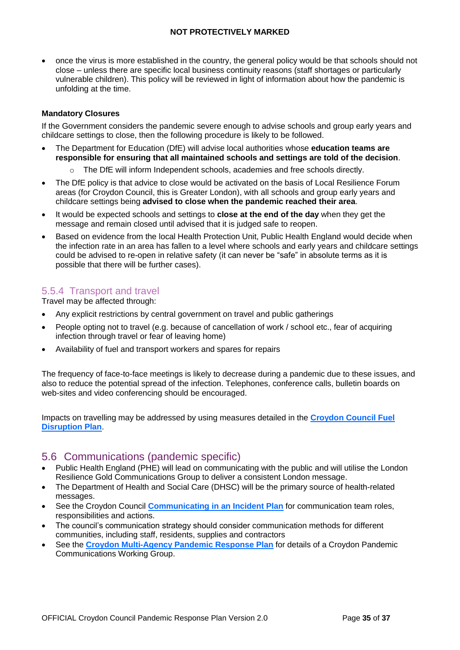once the virus is more established in the country, the general policy would be that schools should not close – unless there are specific local business continuity reasons (staff shortages or particularly vulnerable children). This policy will be reviewed in light of information about how the pandemic is unfolding at the time.

#### **Mandatory Closures**

If the Government considers the pandemic severe enough to advise schools and group early years and childcare settings to close, then the following procedure is likely to be followed.

- The Department for Education (DfE) will advise local authorities whose **education teams are responsible for ensuring that all maintained schools and settings are told of the decision**.
	- The DfE will inform Independent schools, academies and free schools directly.
- The DfE policy is that advice to close would be activated on the basis of Local Resilience Forum areas (for Croydon Council, this is Greater London), with all schools and group early years and childcare settings being **advised to close when the pandemic reached their area**.
- It would be expected schools and settings to **close at the end of the day** when they get the message and remain closed until advised that it is judged safe to reopen.
- Based on evidence from the local Health Protection Unit, Public Health England would decide when the infection rate in an area has fallen to a level where schools and early years and childcare settings could be advised to re-open in relative safety (it can never be "safe" in absolute terms as it is possible that there will be further cases).

## <span id="page-34-0"></span>5.5.4 Transport and travel

Travel may be affected through:

- Any explicit restrictions by central government on travel and public gatherings
- People opting not to travel (e.g. because of cancellation of work / school etc., fear of acquiring infection through travel or fear of leaving home)
- Availability of fuel and transport workers and spares for repairs

The frequency of face-to-face meetings is likely to decrease during a pandemic due to these issues, and also to reduce the potential spread of the infection. Telephones, conference calls, bulletin boards on web-sites and video conferencing should be encouraged.

Impacts on travelling may be addressed by using measures detailed in the **Croydon Council Fuel Disruption Plan**.

## <span id="page-34-1"></span>5.6 Communications (pandemic specific)

- Public Health England (PHE) will lead on communicating with the public and will utilise the London Resilience Gold Communications Group to deliver a consistent London message.
- The Department of Health and Social Care (DHSC) will be the primary source of health-related messages.
- See the Croydon Council **Communicating in an Incident Plan** for communication team roles, responsibilities and actions.
- The council's communication strategy should consider communication methods for different communities, including staff, residents, supplies and contractors
- See the **Croydon Multi-Agency Pandemic Response Plan** for details of a Croydon Pandemic Communications Working Group.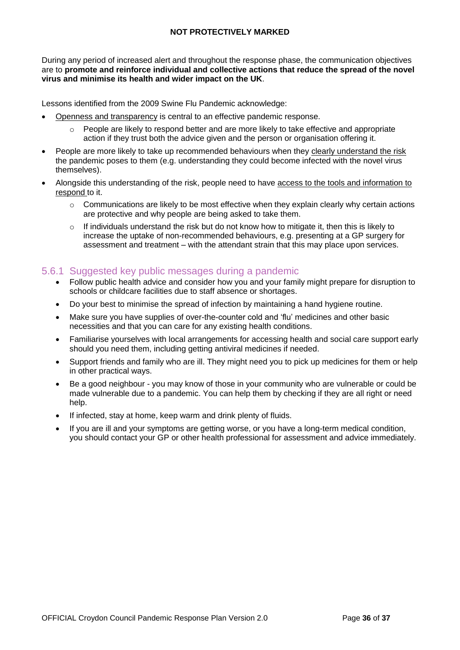During any period of increased alert and throughout the response phase, the communication objectives are to **promote and reinforce individual and collective actions that reduce the spread of the novel virus and minimise its health and wider impact on the UK**.

Lessons identified from the 2009 Swine Flu Pandemic acknowledge:

- Openness and transparency is central to an effective pandemic response.
	- People are likely to respond better and are more likely to take effective and appropriate action if they trust both the advice given and the person or organisation offering it.
- People are more likely to take up recommended behaviours when they clearly understand the risk the pandemic poses to them (e.g. understanding they could become infected with the novel virus themselves).
- Alongside this understanding of the risk, people need to have access to the tools and information to respond to it.
	- $\circ$  Communications are likely to be most effective when they explain clearly why certain actions are protective and why people are being asked to take them.
	- $\circ$  If individuals understand the risk but do not know how to mitigate it, then this is likely to increase the uptake of non-recommended behaviours, e.g. presenting at a GP surgery for assessment and treatment – with the attendant strain that this may place upon services.

#### <span id="page-35-0"></span>5.6.1 Suggested key public messages during a pandemic

- Follow public health advice and consider how you and your family might prepare for disruption to schools or childcare facilities due to staff absence or shortages.
- Do your best to minimise the spread of infection by maintaining a hand hygiene routine.
- Make sure you have supplies of over-the-counter cold and 'flu' medicines and other basic necessities and that you can care for any existing health conditions.
- Familiarise yourselves with local arrangements for accessing health and social care support early should you need them, including getting antiviral medicines if needed.
- Support friends and family who are ill. They might need you to pick up medicines for them or help in other practical ways.
- Be a good neighbour you may know of those in your community who are vulnerable or could be made vulnerable due to a pandemic. You can help them by checking if they are all right or need help.
- If infected, stay at home, keep warm and drink plenty of fluids.
- If you are ill and your symptoms are getting worse, or you have a long-term medical condition, you should contact your GP or other health professional for assessment and advice immediately.